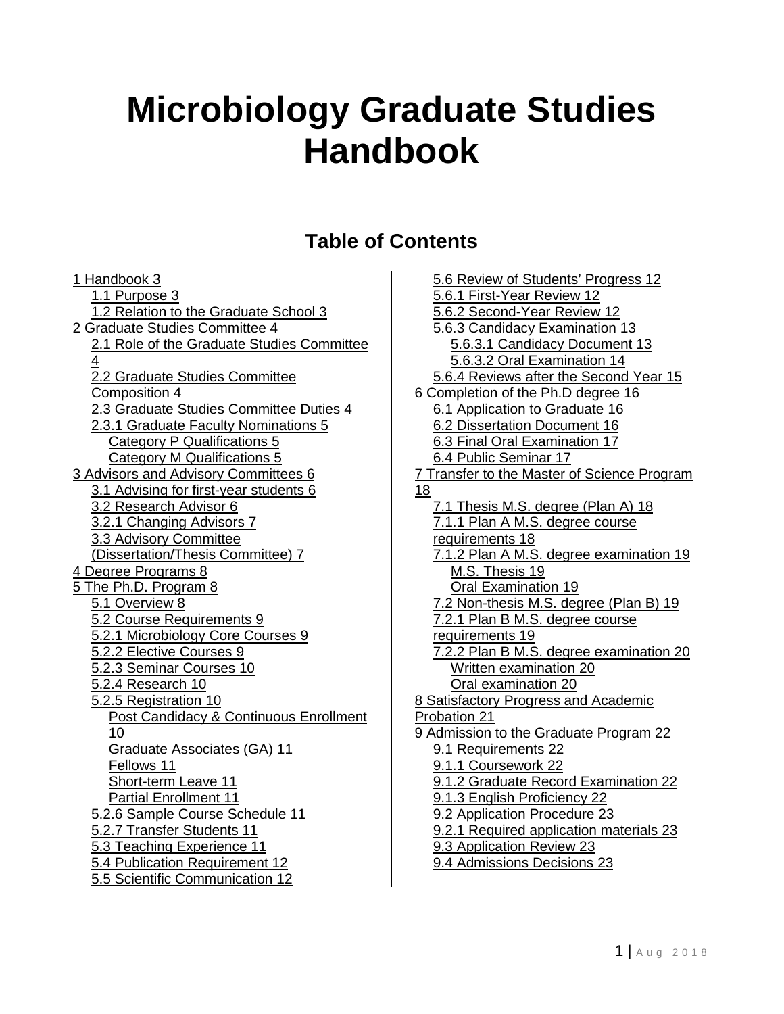# **Microbiology Graduate Studies Handbook**

### **Table of Contents**

[1 Handbook 3](#page-1-0) [1.1 Purpose 3](#page-1-1) [1.2 Relation to the Graduate School 3](#page-1-2) [2 Graduate Studies Committee 4](#page-2-0) [2.1 Role of the Graduate Studies Committee](#page-2-1)   $\boldsymbol{\Lambda}$ [2.2 Graduate Studies Committee](#page-2-2)  [Composition 4](#page-2-2) [2.3 Graduate Studies Committee Duties 4](#page-2-3) [2.3.1 Graduate Faculty Nominations 5](#page-3-0) [Category P Qualifications 5](#page-3-1) [Category M Qualifications 5](#page-3-2) [3 Advisors and Advisory Committees 6](#page-4-0) [3.1 Advising for first-year students 6](#page-4-1) [3.2 Research Advisor 6](#page-4-2) [3.2.1 Changing Advisors 7](#page-4-3) [3.3 Advisory Committee](#page-6-0)  [\(Dissertation/Thesis Committee\) 7](#page-6-0) [4 Degree Programs 8](#page-7-0) [5 The Ph.D. Program 8](#page-8-0) [5.1 Overview 8](#page-8-1) [5.2 Course Requirements 9](#page-9-0) [5.2.1 Microbiology Core Courses 9](#page-9-1) [5.2.2 Elective Courses 9](#page-9-2) [5.2.3 Seminar Courses 10](#page-9-3) [5.2.4 Research 10](#page-10-0) [5.2.5 Registration 10](#page-10-1) [Post Candidacy & Continuous Enrollment](#page-10-2)  [10](#page-10-2) [Graduate Associates \(GA\) 11](#page-10-3) [Fellows 11](#page-10-4) [Short-term Leave 11](#page-10-5) [Partial Enrollment 11](#page-11-0) [5.2.6 Sample Course Schedule 11](#page-11-1) [5.2.7 Transfer Students 11](#page-11-2) [5.3 Teaching Experience 11](#page-11-3) [5.4 Publication Requirement 12](#page-11-4) [5.5 Scientific Communication 12](#page-12-0)

[5.6 Review of Students' Progress 12](#page-12-1) [5.6.1 First-Year Review 12](#page-12-2) [5.6.2 Second-Year Review 12](#page-12-3) [5.6.3 Candidacy Examination 13](#page-13-0) [5.6.3.1 Candidacy Document 13](#page-13-1) [5.6.3.2 Oral Examination 14](#page-14-0) [5.6.4 Reviews after the Second Year 15](#page-15-0) [6 Completion of the Ph.D degree 16](#page-16-0) [6.1 Application to Graduate 16](#page-16-1) [6.2 Dissertation Document 16](#page-16-2) [6.3 Final Oral Examination 17](#page-17-0) [6.4 Public Seminar 17](#page-17-1) [7 Transfer to the Master of Science Program](#page-18-0)  [18](#page-18-0) [7.1 Thesis M.S. degree \(Plan A\) 18](#page-18-1) [7.1.1 Plan A M.S. degree course](#page-19-0)  [requirements 18](#page-19-0) [7.1.2 Plan A M.S. degree examination 19](#page-19-1) [M.S. Thesis 19](#page-19-2) [Oral Examination 19](#page-19-3) [7.2 Non-thesis M.S. degree \(Plan B\) 19](#page-19-4) [7.2.1 Plan B M.S. degree course](#page-19-5)  [requirements 19](#page-19-5) [7.2.2 Plan B M.S. degree examination 20](#page-20-0) [Written examination 20](#page-20-1) [Oral examination 20](#page-20-2) [8 Satisfactory Progress and Academic](#page-21-0)  [Probation 21](#page-21-0) [9 Admission to the Graduate Program 22](#page-22-0) [9.1 Requirements 22](#page-22-1) [9.1.1 Coursework 22](#page-22-2) [9.1.2 Graduate Record Examination 22](#page-22-3) [9.1.3 English Proficiency 22](#page-22-4) [9.2 Application Procedure 23](#page-23-0) [9.2.1 Required application materials 23](#page-23-1) [9.3 Application Review 23](#page-23-2) [9.4 Admissions Decisions 23](#page-23-3)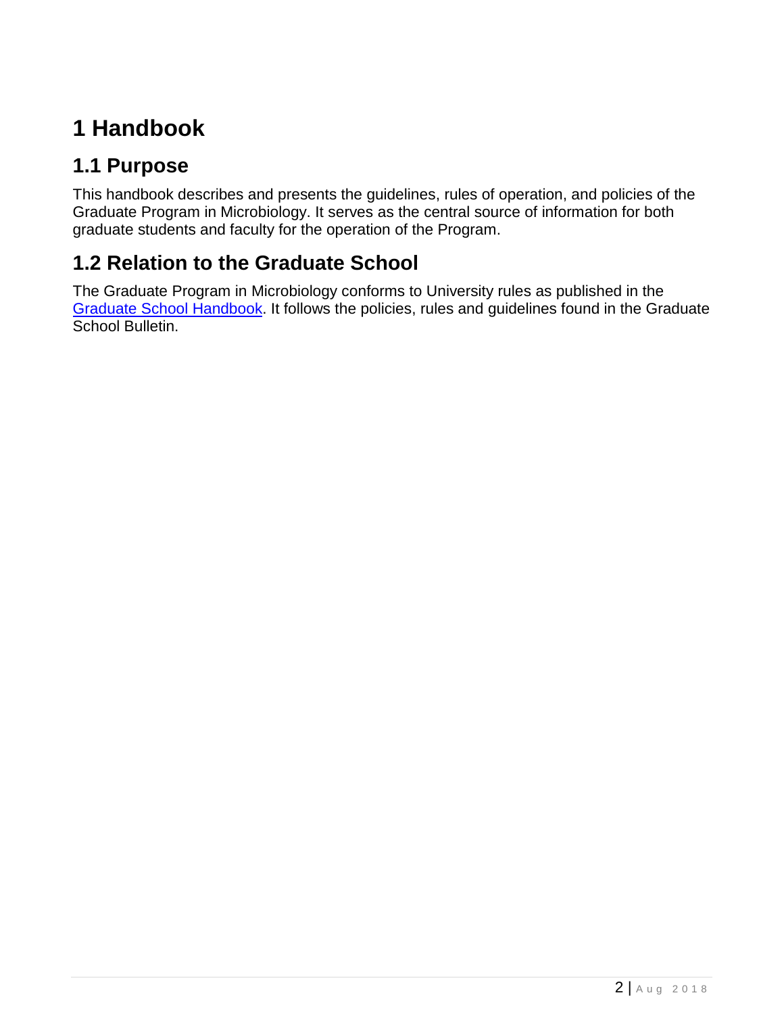# <span id="page-1-0"></span>**1 Handbook**

## <span id="page-1-1"></span>**1.1 Purpose**

This handbook describes and presents the guidelines, rules of operation, and policies of the Graduate Program in Microbiology. It serves as the central source of information for both graduate students and faculty for the operation of the Program.

# <span id="page-1-2"></span>**1.2 Relation to the Graduate School**

The Graduate Program in Microbiology conforms to University rules as published in the [Graduate School Handbook.](https://gradsch.osu.edu/handbook) It follows the policies, rules and guidelines found in the Graduate School Bulletin.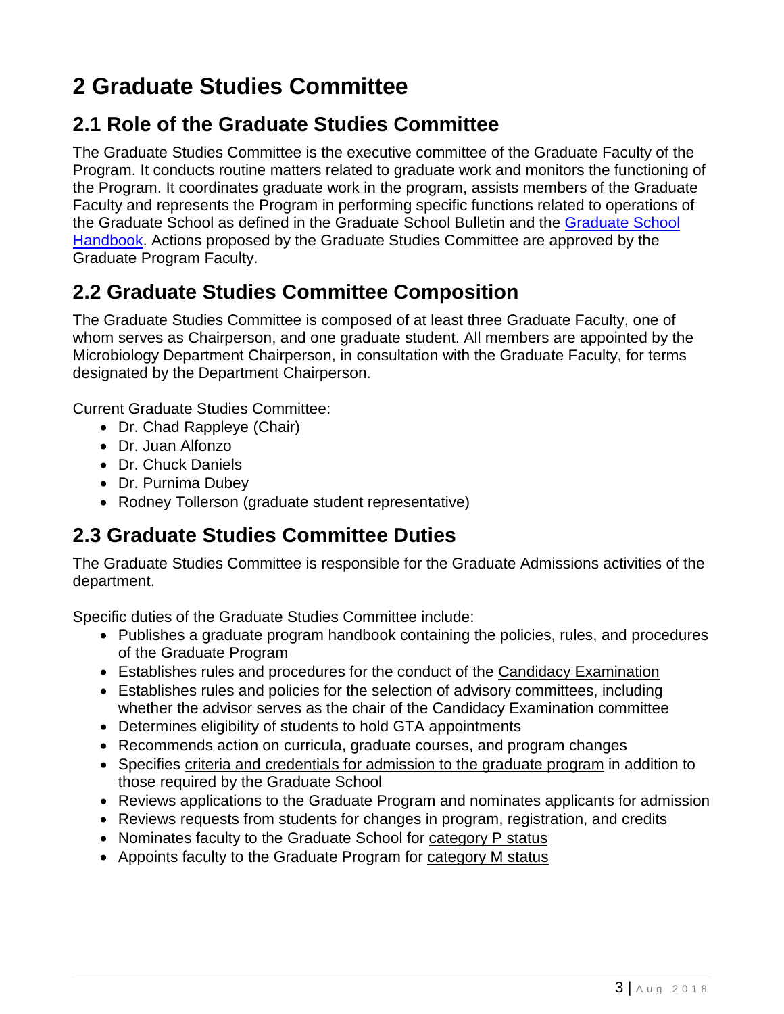# <span id="page-2-0"></span>**2 Graduate Studies Committee**

#### <span id="page-2-1"></span>**2.1 Role of the Graduate Studies Committee**

The Graduate Studies Committee is the executive committee of the Graduate Faculty of the Program. It conducts routine matters related to graduate work and monitors the functioning of the Program. It coordinates graduate work in the program, assists members of the Graduate Faculty and represents the Program in performing specific functions related to operations of the Graduate School as defined in the Graduate School Bulletin and the [Graduate School](https://gradsch.osu.edu/handbook/all)  [Handbook.](https://gradsch.osu.edu/handbook/all) Actions proposed by the Graduate Studies Committee are approved by the Graduate Program Faculty.

#### <span id="page-2-2"></span>**2.2 Graduate Studies Committee Composition**

The Graduate Studies Committee is composed of at least three Graduate Faculty, one of whom serves as Chairperson, and one graduate student. All members are appointed by the Microbiology Department Chairperson, in consultation with the Graduate Faculty, for terms designated by the Department Chairperson.

Current Graduate Studies Committee:

- Dr. Chad Rappleye (Chair)
- Dr. Juan Alfonzo
- Dr. Chuck Daniels
- Dr. Purnima Dubey
- Rodney Tollerson (graduate student representative)

#### <span id="page-2-3"></span>**2.3 Graduate Studies Committee Duties**

The Graduate Studies Committee is responsible for the Graduate Admissions activities of the department.

Specific duties of the Graduate Studies Committee include:

- Publishes a graduate program handbook containing the policies, rules, and procedures of the Graduate Program
- Establishes rules and procedures for the conduct of the [Candidacy Examination](#page-13-0)
- Establishes rules and policies for the selection of advisory committees, including whether the advisor serves as the chair of the Candidacy Examination committee
- Determines eligibility of students to hold GTA appointments
- Recommends action on curricula, graduate courses, and program changes
- Specifies criteria and credentials for admission to the graduate program in addition to those required by the Graduate School
- Reviews applications to the Graduate Program and nominates applicants for admission
- Reviews requests from students for changes in program, registration, and credits
- Nominates faculty to the Graduate School for [category P status](#page-3-1)
- Appoints faculty to the Graduate Program for [category M status](#page-3-2)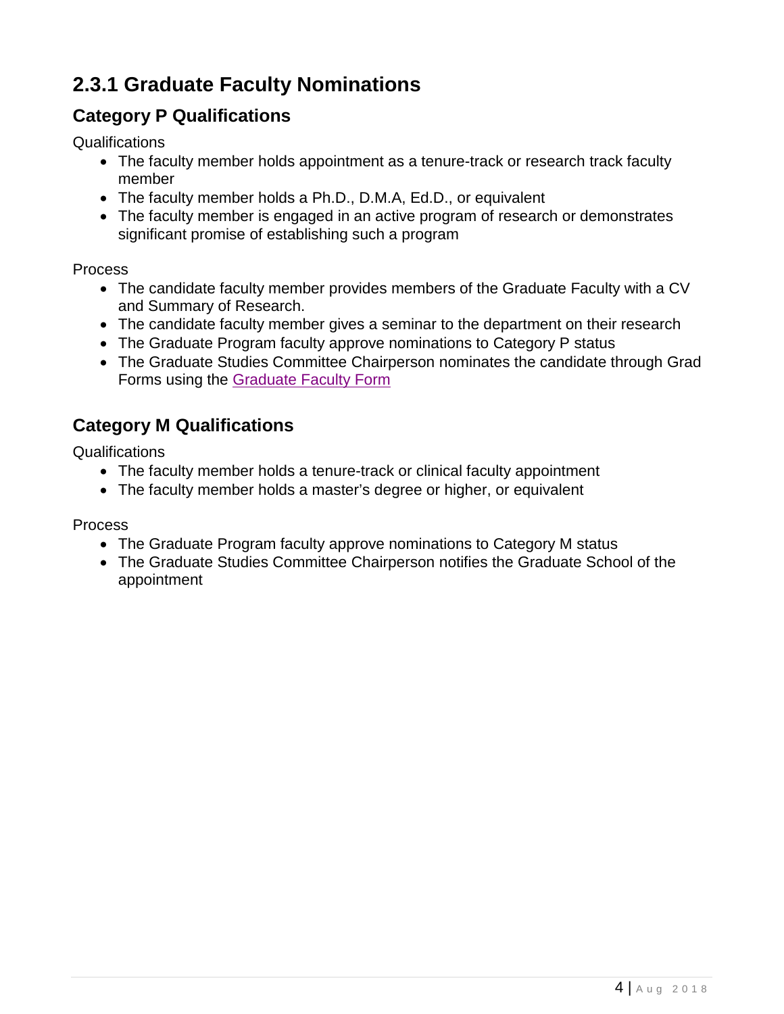# <span id="page-3-0"></span>**2.3.1 Graduate Faculty Nominations**

#### <span id="page-3-1"></span>**Category P Qualifications**

**Qualifications** 

- The faculty member holds appointment as a tenure-track or research track faculty member
- The faculty member holds a Ph.D., D.M.A, Ed.D., or equivalent
- The faculty member is engaged in an active program of research or demonstrates significant promise of establishing such a program

#### Process

- The candidate faculty member provides members of the Graduate Faculty with a CV and Summary of Research.
- The candidate faculty member gives a seminar to the department on their research
- The Graduate Program faculty approve nominations to Category P status
- The Graduate Studies Committee Chairperson nominates the candidate through Grad Forms using the [Graduate Faculty Form](https://gradforms.osu.edu/grad-forms/graduateFacultyNomination/list)

#### <span id="page-3-2"></span>**Category M Qualifications**

**Qualifications** 

- The faculty member holds a tenure-track or clinical faculty appointment
- The faculty member holds a master's degree or higher, or equivalent

Process

- The Graduate Program faculty approve nominations to Category M status
- The Graduate Studies Committee Chairperson notifies the Graduate School of the appointment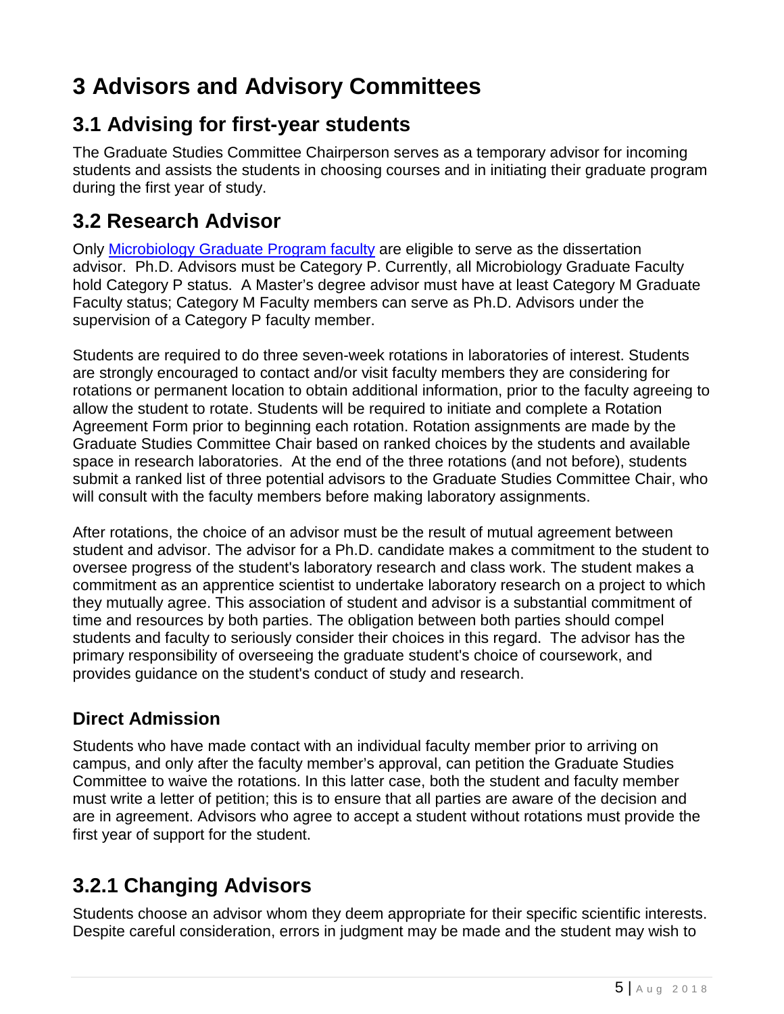# <span id="page-4-0"></span>**3 Advisors and Advisory Committees**

#### <span id="page-4-1"></span>**3.1 Advising for first-year students**

The Graduate Studies Committee Chairperson serves as a temporary advisor for incoming students and assists the students in choosing courses and in initiating their graduate program during the first year of study.

#### <span id="page-4-2"></span>**3.2 Research Advisor**

Only [Microbiology Graduate Program faculty](https://microbiology.osu.edu/directory?field_people_terms_1_tid%5B%5D=14&field_people_terms_1_tid%5B%5D=15) are eligible to serve as the dissertation advisor. Ph.D. Advisors must be Category P. Currently, all Microbiology Graduate Faculty hold Category P status. A Master's degree advisor must have at least Category M Graduate Faculty status; Category M Faculty members can serve as Ph.D. Advisors under the supervision of a Category P faculty member.

Students are required to do three seven-week rotations in laboratories of interest. Students are strongly encouraged to contact and/or visit faculty members they are considering for rotations or permanent location to obtain additional information, prior to the faculty agreeing to allow the student to rotate. Students will be required to initiate and complete a Rotation Agreement Form prior to beginning each rotation. Rotation assignments are made by the Graduate Studies Committee Chair based on ranked choices by the students and available space in research laboratories. At the end of the three rotations (and not before), students submit a ranked list of three potential advisors to the Graduate Studies Committee Chair, who will consult with the faculty members before making laboratory assignments.

After rotations, the choice of an advisor must be the result of mutual agreement between student and advisor. The advisor for a Ph.D. candidate makes a commitment to the student to oversee progress of the student's laboratory research and class work. The student makes a commitment as an apprentice scientist to undertake laboratory research on a project to which they mutually agree. This association of student and advisor is a substantial commitment of time and resources by both parties. The obligation between both parties should compel students and faculty to seriously consider their choices in this regard. The advisor has the primary responsibility of overseeing the graduate student's choice of coursework, and provides guidance on the student's conduct of study and research.

#### **Direct Admission**

Students who have made contact with an individual faculty member prior to arriving on campus, and only after the faculty member's approval, can petition the Graduate Studies Committee to waive the rotations. In this latter case, both the student and faculty member must write a letter of petition; this is to ensure that all parties are aware of the decision and are in agreement. Advisors who agree to accept a student without rotations must provide the first year of support for the student.

# <span id="page-4-3"></span>**3.2.1 Changing Advisors**

Students choose an advisor whom they deem appropriate for their specific scientific interests. Despite careful consideration, errors in judgment may be made and the student may wish to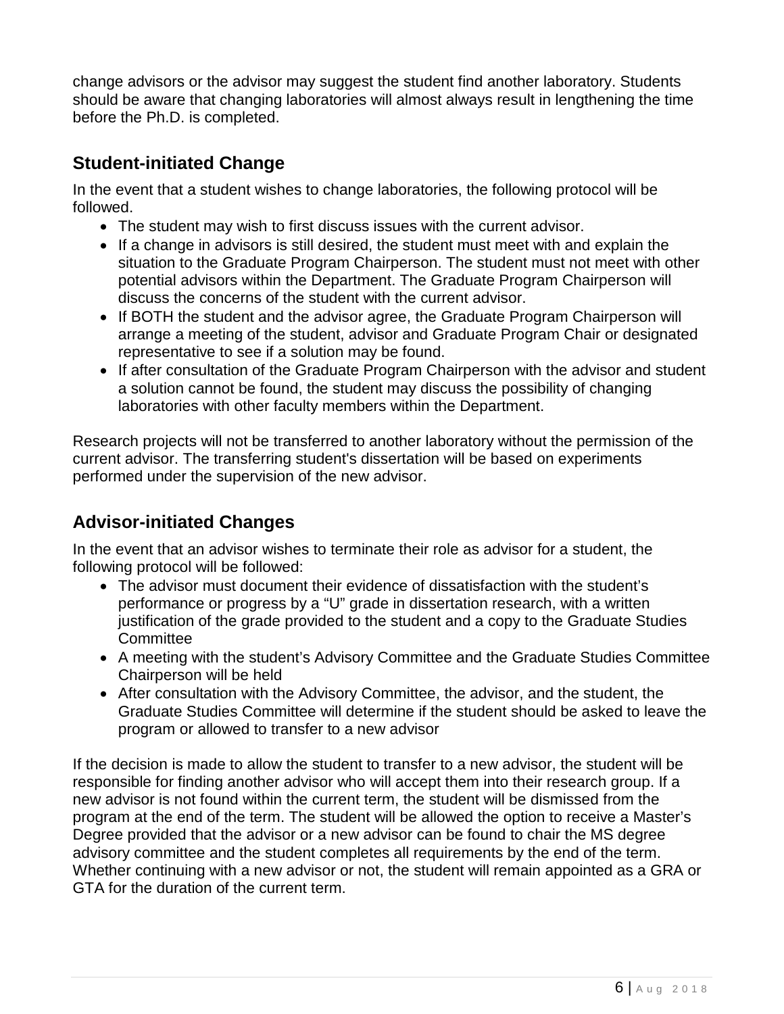change advisors or the advisor may suggest the student find another laboratory. Students should be aware that changing laboratories will almost always result in lengthening the time before the Ph.D. is completed.

#### **Student-initiated Change**

In the event that a student wishes to change laboratories, the following protocol will be followed.

- The student may wish to first discuss issues with the current advisor.
- If a change in advisors is still desired, the student must meet with and explain the situation to the Graduate Program Chairperson. The student must not meet with other potential advisors within the Department. The Graduate Program Chairperson will discuss the concerns of the student with the current advisor.
- If BOTH the student and the advisor agree, the Graduate Program Chairperson will arrange a meeting of the student, advisor and Graduate Program Chair or designated representative to see if a solution may be found.
- If after consultation of the Graduate Program Chairperson with the advisor and student a solution cannot be found, the student may discuss the possibility of changing laboratories with other faculty members within the Department.

Research projects will not be transferred to another laboratory without the permission of the current advisor. The transferring student's dissertation will be based on experiments performed under the supervision of the new advisor.

#### **Advisor-initiated Changes**

In the event that an advisor wishes to terminate their role as advisor for a student, the following protocol will be followed:

- The advisor must document their evidence of dissatisfaction with the student's performance or progress by a "U" grade in dissertation research, with a written justification of the grade provided to the student and a copy to the Graduate Studies **Committee**
- A meeting with the student's Advisory Committee and the Graduate Studies Committee Chairperson will be held
- After consultation with the Advisory Committee, the advisor, and the student, the Graduate Studies Committee will determine if the student should be asked to leave the program or allowed to transfer to a new advisor

If the decision is made to allow the student to transfer to a new advisor, the student will be responsible for finding another advisor who will accept them into their research group. If a new advisor is not found within the current term, the student will be dismissed from the program at the end of the term. The student will be allowed the option to receive a Master's Degree provided that the advisor or a new advisor can be found to chair the MS degree advisory committee and the student completes all requirements by the end of the term. Whether continuing with a new advisor or not, the student will remain appointed as a GRA or GTA for the duration of the current term.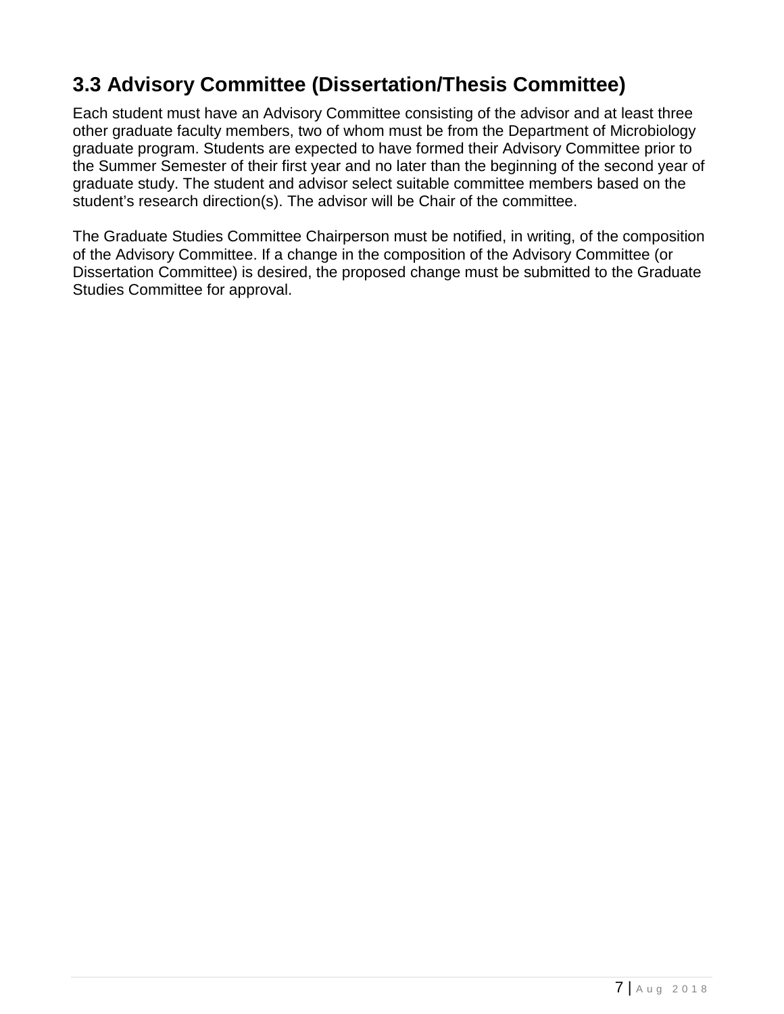# <span id="page-6-0"></span>**3.3 Advisory Committee (Dissertation/Thesis Committee)**

Each student must have an Advisory Committee consisting of the advisor and at least three other graduate faculty members, two of whom must be from the Department of Microbiology graduate program. Students are expected to have formed their Advisory Committee prior to the Summer Semester of their first year and no later than the beginning of the second year of graduate study. The student and advisor select suitable committee members based on the student's research direction(s). The advisor will be Chair of the committee.

The Graduate Studies Committee Chairperson must be notified, in writing, of the composition of the Advisory Committee. If a change in the composition of the Advisory Committee (or Dissertation Committee) is desired, the proposed change must be submitted to the Graduate Studies Committee for approval.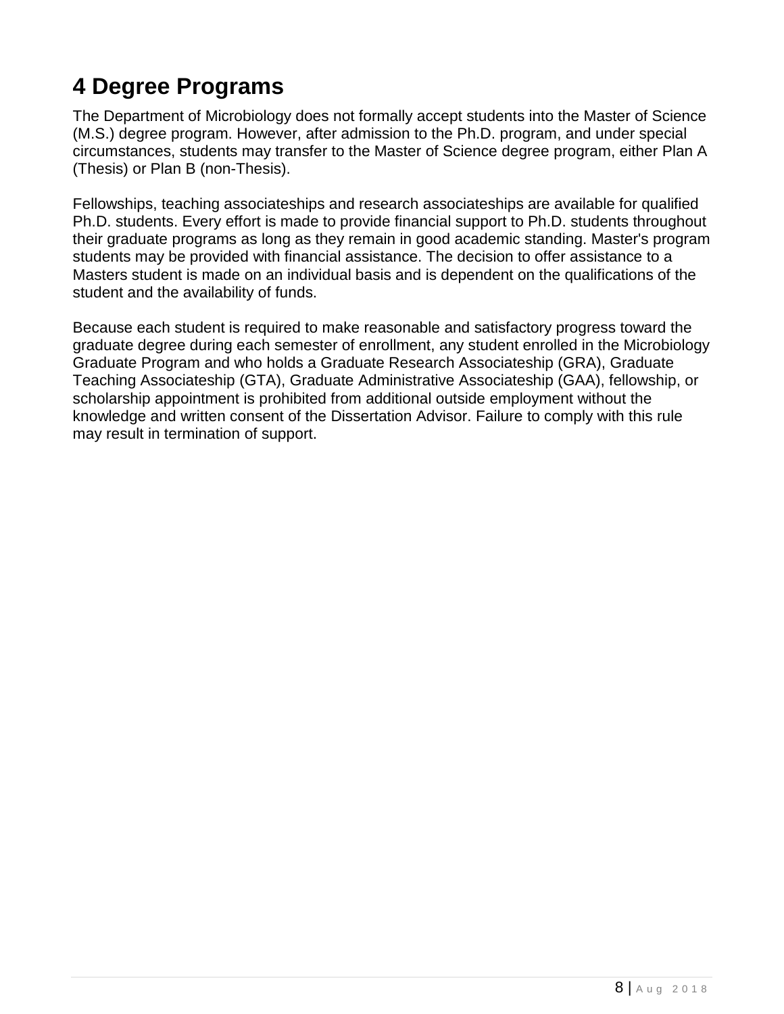# <span id="page-7-0"></span>**4 Degree Programs**

The Department of Microbiology does not formally accept students into the Master of Science (M.S.) degree program. However, after admission to the Ph.D. program, and under special circumstances, students may transfer to the Master of Science degree program, either Plan A (Thesis) or Plan B (non-Thesis).

Fellowships, teaching associateships and research associateships are available for qualified Ph.D. students. Every effort is made to provide financial support to Ph.D. students throughout their graduate programs as long as they remain in good academic standing. Master's program students may be provided with financial assistance. The decision to offer assistance to a Masters student is made on an individual basis and is dependent on the qualifications of the student and the availability of funds.

Because each student is required to make reasonable and satisfactory progress toward the graduate degree during each semester of enrollment, any student enrolled in the Microbiology Graduate Program and who holds a Graduate Research Associateship (GRA), Graduate Teaching Associateship (GTA), Graduate Administrative Associateship (GAA), fellowship, or scholarship appointment is prohibited from additional outside employment without the knowledge and written consent of the Dissertation Advisor. Failure to comply with this rule may result in termination of support.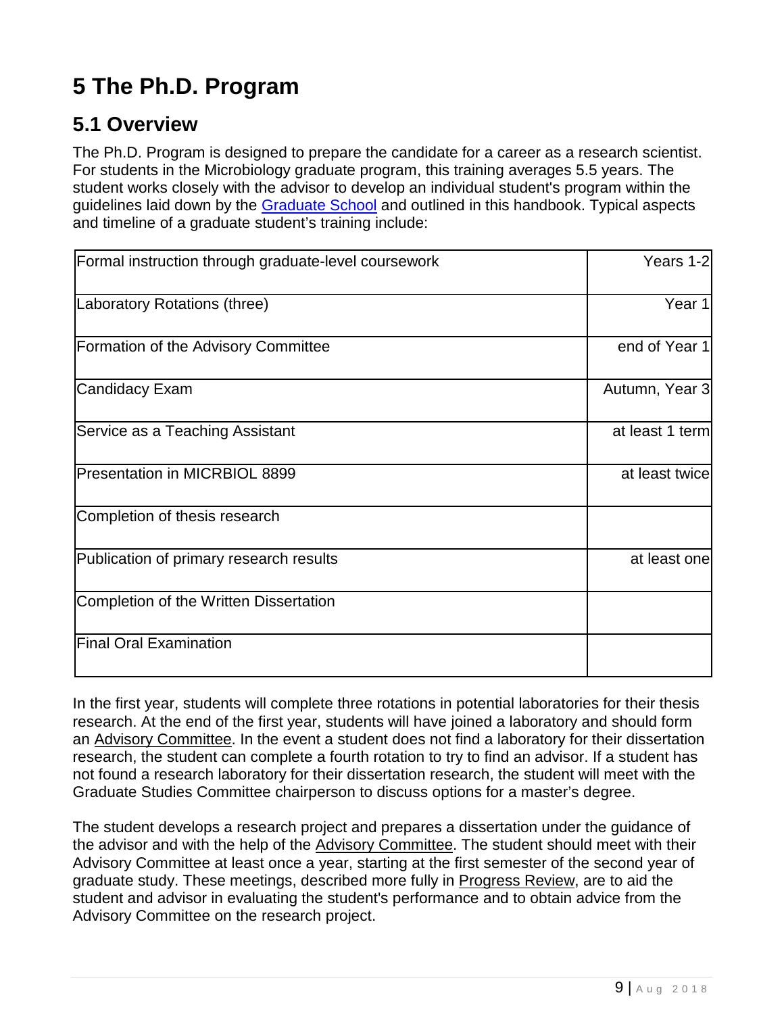# <span id="page-8-0"></span>**5 The Ph.D. Program**

#### <span id="page-8-1"></span>**5.1 Overview**

The Ph.D. Program is designed to prepare the candidate for a career as a research scientist. For students in the Microbiology graduate program, this training averages 5.5 years. The student works closely with the advisor to develop an individual student's program within the guidelines laid down by the [Graduate School](https://gradsch.osu.edu/handbook/7-doctoral) and outlined in this handbook. Typical aspects and timeline of a graduate student's training include:

| Formal instruction through graduate-level coursework | Years 1-2       |
|------------------------------------------------------|-----------------|
| Laboratory Rotations (three)                         | Year 1          |
| <b>Formation of the Advisory Committee</b>           | end of Year 1   |
| <b>Candidacy Exam</b>                                | Autumn, Year 3  |
| Service as a Teaching Assistant                      | at least 1 term |
| <b>Presentation in MICRBIOL 8899</b>                 | at least twice  |
| Completion of thesis research                        |                 |
| Publication of primary research results              | at least one    |
| Completion of the Written Dissertation               |                 |
| <b>Final Oral Examination</b>                        |                 |

In the first year, students will complete three rotations in potential laboratories for their thesis research. At the end of the first year, students will have joined a laboratory and should form an Advisory Committee. In the event a student does not find a laboratory for their dissertation research, the student can complete a fourth rotation to try to find an advisor. If a student has not found a research laboratory for their dissertation research, the student will meet with the Graduate Studies Committee chairperson to discuss options for a master's degree.

The student develops a research project and prepares a dissertation under the guidance of the advisor and with the help of the Advisory Committee. The student should meet with their Advisory Committee at least once a year, starting at the first semester of the second year of graduate study. These meetings, described more fully in Progress Review, are to aid the student and advisor in evaluating the student's performance and to obtain advice from the Advisory Committee on the research project.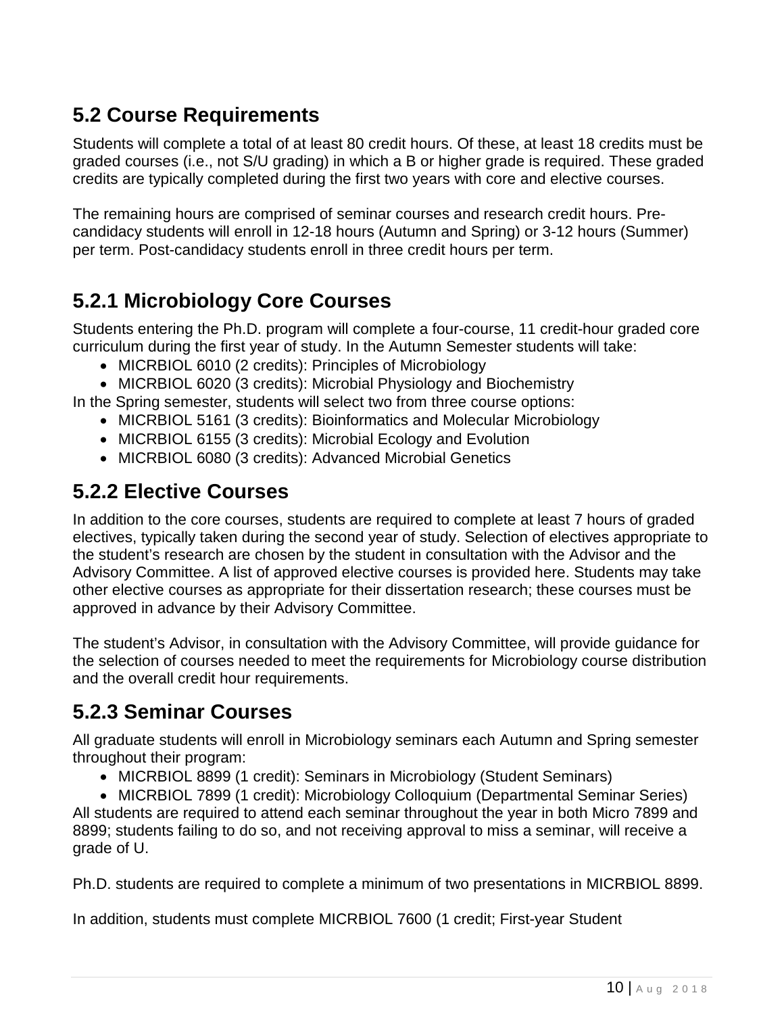#### <span id="page-9-0"></span>**5.2 Course Requirements**

Students will complete a total of at least 80 credit hours. Of these, at least 18 credits must be graded courses (i.e., not S/U grading) in which a B or higher grade is required. These graded credits are typically completed during the first two years with core and elective courses.

The remaining hours are comprised of seminar courses and research credit hours. Precandidacy students will enroll in 12-18 hours (Autumn and Spring) or 3-12 hours (Summer) per term. Post-candidacy students enroll in three credit hours per term.

# <span id="page-9-1"></span>**5.2.1 Microbiology Core Courses**

Students entering the Ph.D. program will complete a four-course, 11 credit-hour graded core curriculum during the first year of study. In the Autumn Semester students will take:

- MICRBIOL 6010 (2 credits): Principles of Microbiology
- MICRBIOL 6020 (3 credits): Microbial Physiology and Biochemistry

In the Spring semester, students will select two from three course options:

- MICRBIOL 5161 (3 credits): Bioinformatics and Molecular Microbiology
- MICRBIOL 6155 (3 credits): Microbial Ecology and Evolution
- MICRBIOL 6080 (3 credits): Advanced Microbial Genetics

### <span id="page-9-2"></span>**5.2.2 Elective Courses**

In addition to the core courses, students are required to complete at least 7 hours of graded electives, typically taken during the second year of study. Selection of electives appropriate to the student's research are chosen by the student in consultation with the Advisor and the Advisory Committee. A list of approved elective courses is provided here. Students may take other elective courses as appropriate for their dissertation research; these courses must be approved in advance by their Advisory Committee.

The student's Advisor, in consultation with the Advisory Committee, will provide guidance for the selection of courses needed to meet the requirements for Microbiology course distribution and the overall credit hour requirements.

# <span id="page-9-3"></span>**5.2.3 Seminar Courses**

All graduate students will enroll in Microbiology seminars each Autumn and Spring semester throughout their program:

• MICRBIOL 8899 (1 credit): Seminars in Microbiology (Student Seminars)

• MICRBIOL 7899 (1 credit): Microbiology Colloquium (Departmental Seminar Series) All students are required to attend each seminar throughout the year in both Micro 7899 and 8899; students failing to do so, and not receiving approval to miss a seminar, will receive a grade of U.

Ph.D. students are required to complete a minimum of two presentations in MICRBIOL 8899.

In addition, students must complete MICRBIOL 7600 (1 credit; First-year Student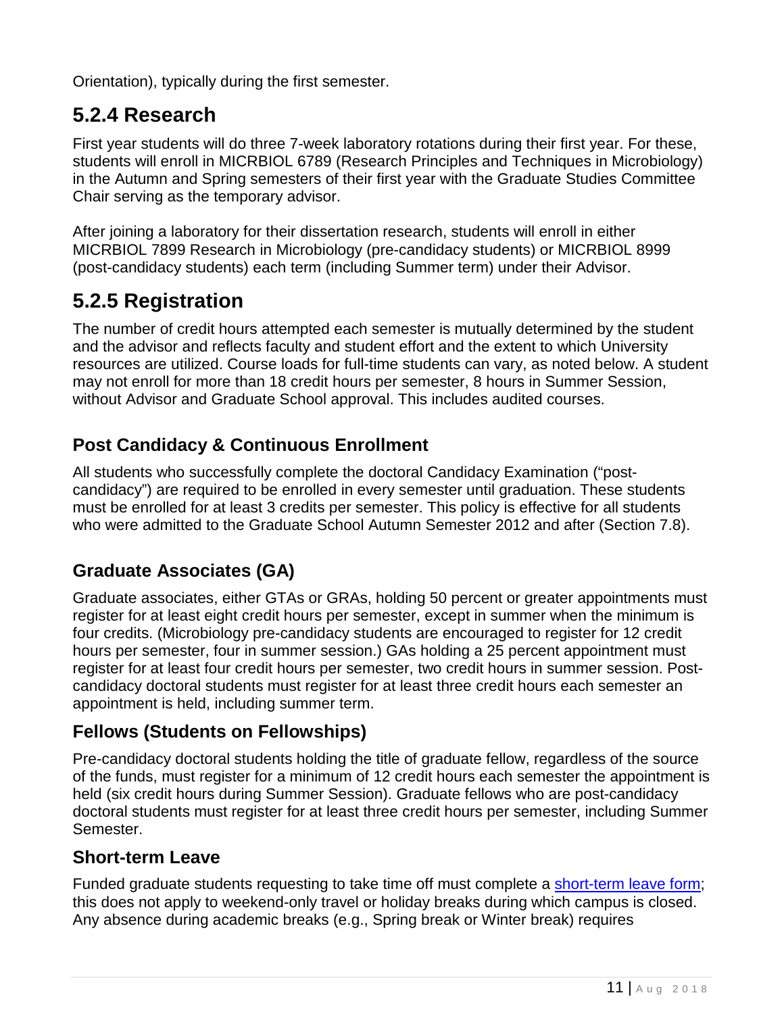Orientation), typically during the first semester.

#### <span id="page-10-0"></span>**5.2.4 Research**

First year students will do three 7-week laboratory rotations during their first year. For these, students will enroll in MICRBIOL 6789 (Research Principles and Techniques in Microbiology) in the Autumn and Spring semesters of their first year with the Graduate Studies Committee Chair serving as the temporary advisor.

After joining a laboratory for their dissertation research, students will enroll in either MICRBIOL 7899 Research in Microbiology (pre-candidacy students) or MICRBIOL 8999 (post-candidacy students) each term (including Summer term) under their Advisor.

#### <span id="page-10-1"></span>**5.2.5 Registration**

The number of credit hours attempted each semester is mutually determined by the student and the advisor and reflects faculty and student effort and the extent to which University resources are utilized. Course loads for full-time students can vary, as noted below. A student may not enroll for more than 18 credit hours per semester, 8 hours in Summer Session, without Advisor and Graduate School approval. This includes audited courses.

#### <span id="page-10-2"></span>**Post Candidacy & Continuous Enrollment**

All students who successfully complete the doctoral Candidacy Examination ("postcandidacy") are required to be enrolled in every semester until graduation. These students must be enrolled for at least 3 credits per semester. This policy is effective for all students who were admitted to the Graduate School Autumn Semester 2012 and after (Section 7.8).

#### <span id="page-10-3"></span>**Graduate Associates (GA)**

Graduate associates, either GTAs or GRAs, holding 50 percent or greater appointments must register for at least eight credit hours per semester, except in summer when the minimum is four credits. (Microbiology pre-candidacy students are encouraged to register for 12 credit hours per semester, four in summer session.) GAs holding a 25 percent appointment must register for at least four credit hours per semester, two credit hours in summer session. Postcandidacy doctoral students must register for at least three credit hours each semester an appointment is held, including summer term.

#### <span id="page-10-4"></span>**Fellows (Students on Fellowships)**

Pre-candidacy doctoral students holding the title of graduate fellow, regardless of the source of the funds, must register for a minimum of 12 credit hours each semester the appointment is held (six credit hours during Summer Session). Graduate fellows who are post-candidacy doctoral students must register for at least three credit hours per semester, including Summer Semester.

#### <span id="page-10-5"></span>**Short-term Leave**

Funded graduate students requesting to take time off must complete a [short-term leave form;](https://gradsch.osu.edu/sites/default/files/resources/pdfs/GA_leave_form.pdf) this does not apply to weekend-only travel or holiday breaks during which campus is closed. Any absence during academic breaks (e.g., Spring break or Winter break) requires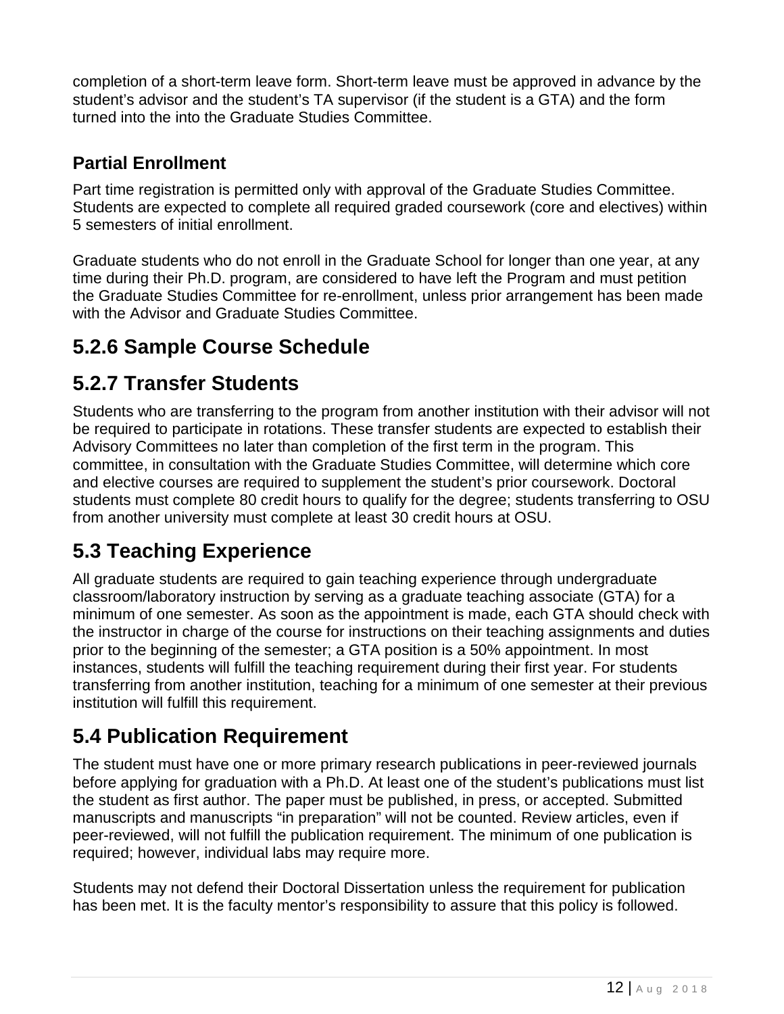completion of a short-term leave form. Short-term leave must be approved in advance by the student's advisor and the student's TA supervisor (if the student is a GTA) and the form turned into the into the Graduate Studies Committee.

#### <span id="page-11-0"></span>**Partial Enrollment**

Part time registration is permitted only with approval of the Graduate Studies Committee. Students are expected to complete all required graded coursework (core and electives) within 5 semesters of initial enrollment.

Graduate students who do not enroll in the Graduate School for longer than one year, at any time during their Ph.D. program, are considered to have left the Program and must petition the Graduate Studies Committee for re-enrollment, unless prior arrangement has been made with the Advisor and Graduate Studies Committee.

# <span id="page-11-1"></span>**5.2.6 Sample Course Schedule**

### <span id="page-11-2"></span>**5.2.7 Transfer Students**

Students who are transferring to the program from another institution with their advisor will not be required to participate in rotations. These transfer students are expected to establish their Advisory Committees no later than completion of the first term in the program. This committee, in consultation with the Graduate Studies Committee, will determine which core and elective courses are required to supplement the student's prior coursework. Doctoral students must complete 80 credit hours to qualify for the degree; students transferring to OSU from another university must complete at least 30 credit hours at OSU.

# <span id="page-11-3"></span>**5.3 Teaching Experience**

All graduate students are required to gain teaching experience through undergraduate classroom/laboratory instruction by serving as a graduate teaching associate (GTA) for a minimum of one semester. As soon as the appointment is made, each GTA should check with the instructor in charge of the course for instructions on their teaching assignments and duties prior to the beginning of the semester; a GTA position is a 50% appointment. In most instances, students will fulfill the teaching requirement during their first year. For students transferring from another institution, teaching for a minimum of one semester at their previous institution will fulfill this requirement.

# <span id="page-11-4"></span>**5.4 Publication Requirement**

The student must have one or more primary research publications in peer-reviewed journals before applying for graduation with a Ph.D. At least one of the student's publications must list the student as first author. The paper must be published, in press, or accepted. Submitted manuscripts and manuscripts "in preparation" will not be counted. Review articles, even if peer-reviewed, will not fulfill the publication requirement. The minimum of one publication is required; however, individual labs may require more.

Students may not defend their Doctoral Dissertation unless the requirement for publication has been met. It is the faculty mentor's responsibility to assure that this policy is followed.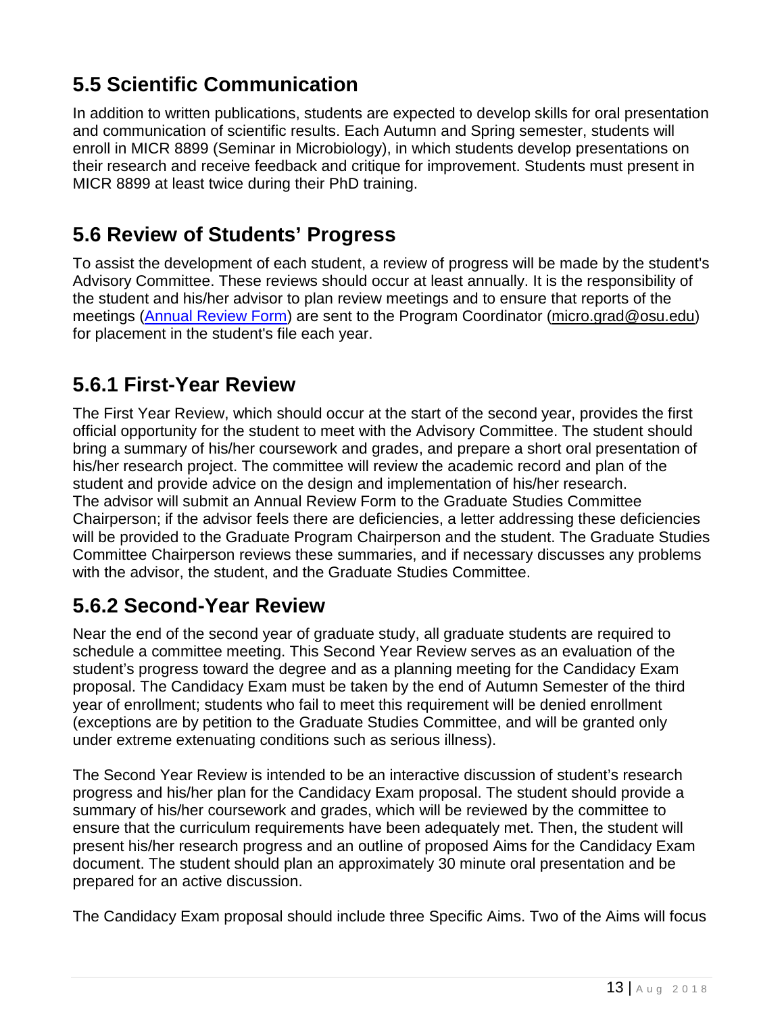# <span id="page-12-0"></span>**5.5 Scientific Communication**

In addition to written publications, students are expected to develop skills for oral presentation and communication of scientific results. Each Autumn and Spring semester, students will enroll in MICR 8899 (Seminar in Microbiology), in which students develop presentations on their research and receive feedback and critique for improvement. Students must present in MICR 8899 at least twice during their PhD training.

#### <span id="page-12-1"></span>**5.6 Review of Students' Progress**

To assist the development of each student, a review of progress will be made by the student's Advisory Committee. These reviews should occur at least annually. It is the responsibility of the student and his/her advisor to plan review meetings and to ensure that reports of the meetings [\(Annual Review Form\)](https://microbiology.osu.edu/sites/microbiology.osu.edu/files/AnnualReviewForm%5b1%5d.pdf) are sent to the Program Coordinator [\(micro.grad@osu.edu\)](mailto:micro.grad@osu.edu) for placement in the student's file each year.

#### <span id="page-12-2"></span>**5.6.1 First-Year Review**

The First Year Review, which should occur at the start of the second year, provides the first official opportunity for the student to meet with the Advisory Committee. The student should bring a summary of his/her coursework and grades, and prepare a short oral presentation of his/her research project. The committee will review the academic record and plan of the student and provide advice on the design and implementation of his/her research. The advisor will submit an Annual Review Form to the Graduate Studies Committee Chairperson; if the advisor feels there are deficiencies, a letter addressing these deficiencies will be provided to the Graduate Program Chairperson and the student. The Graduate Studies Committee Chairperson reviews these summaries, and if necessary discusses any problems with the advisor, the student, and the Graduate Studies Committee.

#### <span id="page-12-3"></span>**5.6.2 Second-Year Review**

Near the end of the second year of graduate study, all graduate students are required to schedule a committee meeting. This Second Year Review serves as an evaluation of the student's progress toward the degree and as a planning meeting for the Candidacy Exam proposal. The Candidacy Exam must be taken by the end of Autumn Semester of the third year of enrollment; students who fail to meet this requirement will be denied enrollment (exceptions are by petition to the Graduate Studies Committee, and will be granted only under extreme extenuating conditions such as serious illness).

The Second Year Review is intended to be an interactive discussion of student's research progress and his/her plan for the Candidacy Exam proposal. The student should provide a summary of his/her coursework and grades, which will be reviewed by the committee to ensure that the curriculum requirements have been adequately met. Then, the student will present his/her research progress and an outline of proposed Aims for the Candidacy Exam document. The student should plan an approximately 30 minute oral presentation and be prepared for an active discussion.

The Candidacy Exam proposal should include three Specific Aims. Two of the Aims will focus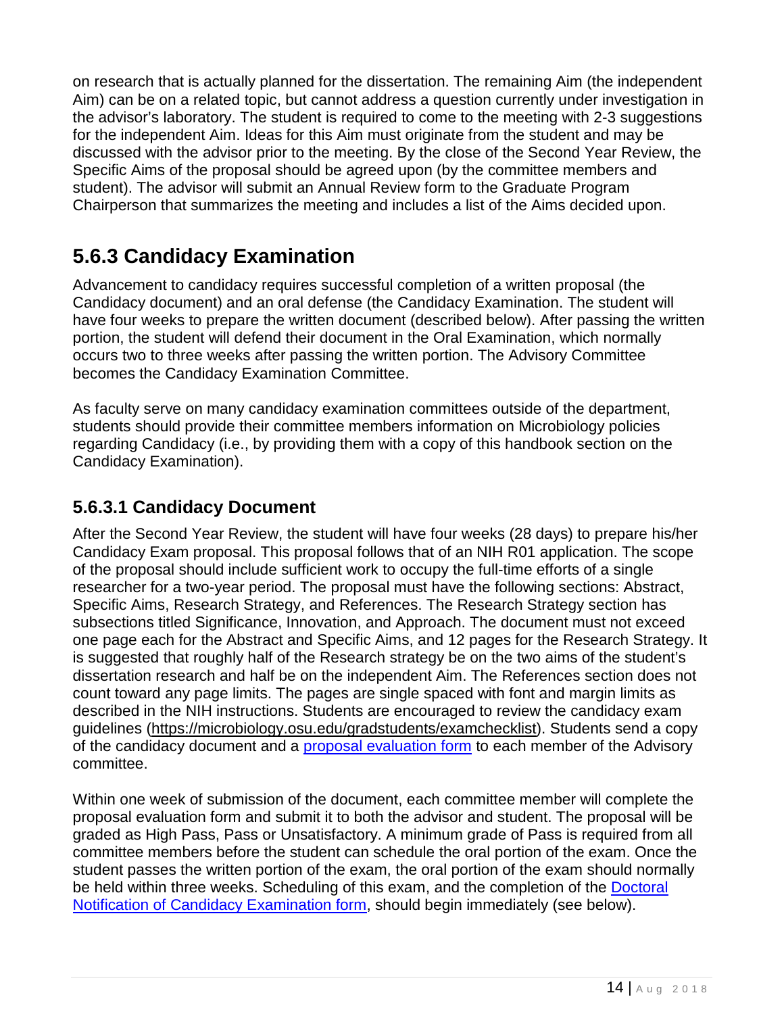on research that is actually planned for the dissertation. The remaining Aim (the independent Aim) can be on a related topic, but cannot address a question currently under investigation in the advisor's laboratory. The student is required to come to the meeting with 2-3 suggestions for the independent Aim. Ideas for this Aim must originate from the student and may be discussed with the advisor prior to the meeting. By the close of the Second Year Review, the Specific Aims of the proposal should be agreed upon (by the committee members and student). The advisor will submit an Annual Review form to the Graduate Program Chairperson that summarizes the meeting and includes a list of the Aims decided upon.

### <span id="page-13-0"></span>**5.6.3 Candidacy Examination**

Advancement to candidacy requires successful completion of a written proposal (the Candidacy document) and an oral defense (the Candidacy Examination. The student will have four weeks to prepare the written document (described below). After passing the written portion, the student will defend their document in the Oral Examination, which normally occurs two to three weeks after passing the written portion. The Advisory Committee becomes the Candidacy Examination Committee.

As faculty serve on many candidacy examination committees outside of the department, students should provide their committee members information on Microbiology policies regarding Candidacy (i.e., by providing them with a copy of this handbook section on the Candidacy Examination).

#### <span id="page-13-1"></span>**5.6.3.1 Candidacy Document**

After the Second Year Review, the student will have four weeks (28 days) to prepare his/her Candidacy Exam proposal. This proposal follows that of an NIH R01 application. The scope of the proposal should include sufficient work to occupy the full-time efforts of a single researcher for a two-year period. The proposal must have the following sections: Abstract, Specific Aims, Research Strategy, and References. The Research Strategy section has subsections titled Significance, Innovation, and Approach. The document must not exceed one page each for the Abstract and Specific Aims, and 12 pages for the Research Strategy. It is suggested that roughly half of the Research strategy be on the two aims of the student's dissertation research and half be on the independent Aim. The References section does not count toward any page limits. The pages are single spaced with font and margin limits as described in the NIH instructions. Students are encouraged to review the candidacy exam guidelines [\(https://microbiology.osu.edu/gradstudents/examchecklist\)](https://microbiology.osu.edu/gradstudents/examchecklist). Students send a copy of the candidacy document and a [proposal evaluation form](https://microbiology.osu.edu/file/candidacyproposalevaluationform1-1.docx) to each member of the Advisory committee.

Within one week of submission of the document, each committee member will complete the proposal evaluation form and submit it to both the advisor and student. The proposal will be graded as High Pass, Pass or Unsatisfactory. A minimum grade of Pass is required from all committee members before the student can schedule the oral portion of the exam. Once the student passes the written portion of the exam, the oral portion of the exam should normally be held within three weeks. Scheduling of this exam, and the completion of the [Doctoral](https://gradforms.osu.edu/)  [Notification of Candidacy Examination form,](https://gradforms.osu.edu/) should begin immediately (see below).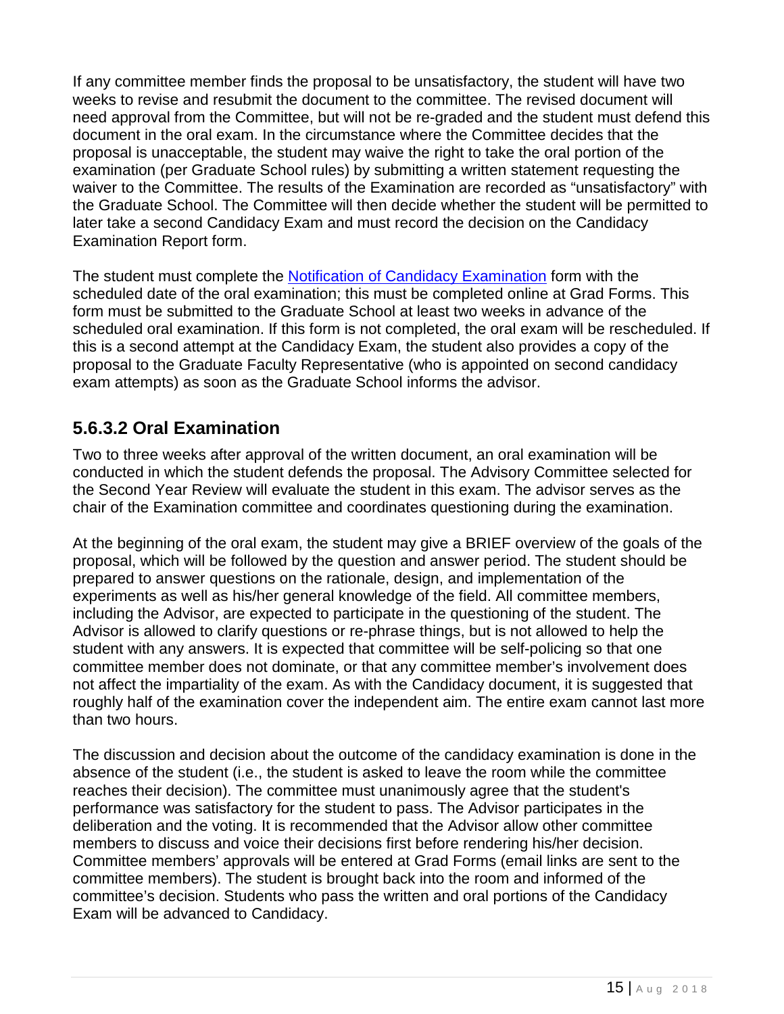If any committee member finds the proposal to be unsatisfactory, the student will have two weeks to revise and resubmit the document to the committee. The revised document will need approval from the Committee, but will not be re-graded and the student must defend this document in the oral exam. In the circumstance where the Committee decides that the proposal is unacceptable, the student may waive the right to take the oral portion of the examination (per Graduate School rules) by submitting a written statement requesting the waiver to the Committee. The results of the Examination are recorded as "unsatisfactory" with the Graduate School. The Committee will then decide whether the student will be permitted to later take a second Candidacy Exam and must record the decision on the Candidacy Examination Report form.

The student must complete the [Notification of Candidacy Examination](https://gradforms.osu.edu/) form with the scheduled date of the oral examination; this must be completed online at Grad Forms. This form must be submitted to the Graduate School at least two weeks in advance of the scheduled oral examination. If this form is not completed, the oral exam will be rescheduled. If this is a second attempt at the Candidacy Exam, the student also provides a copy of the proposal to the Graduate Faculty Representative (who is appointed on second candidacy exam attempts) as soon as the Graduate School informs the advisor.

#### <span id="page-14-0"></span>**5.6.3.2 Oral Examination**

Two to three weeks after approval of the written document, an oral examination will be conducted in which the student defends the proposal. The Advisory Committee selected for the Second Year Review will evaluate the student in this exam. The advisor serves as the chair of the Examination committee and coordinates questioning during the examination.

At the beginning of the oral exam, the student may give a BRIEF overview of the goals of the proposal, which will be followed by the question and answer period. The student should be prepared to answer questions on the rationale, design, and implementation of the experiments as well as his/her general knowledge of the field. All committee members, including the Advisor, are expected to participate in the questioning of the student. The Advisor is allowed to clarify questions or re-phrase things, but is not allowed to help the student with any answers. It is expected that committee will be self-policing so that one committee member does not dominate, or that any committee member's involvement does not affect the impartiality of the exam. As with the Candidacy document, it is suggested that roughly half of the examination cover the independent aim. The entire exam cannot last more than two hours.

The discussion and decision about the outcome of the candidacy examination is done in the absence of the student (i.e., the student is asked to leave the room while the committee reaches their decision). The committee must unanimously agree that the student's performance was satisfactory for the student to pass. The Advisor participates in the deliberation and the voting. It is recommended that the Advisor allow other committee members to discuss and voice their decisions first before rendering his/her decision. Committee members' approvals will be entered at Grad Forms (email links are sent to the committee members). The student is brought back into the room and informed of the committee's decision. Students who pass the written and oral portions of the Candidacy Exam will be advanced to Candidacy.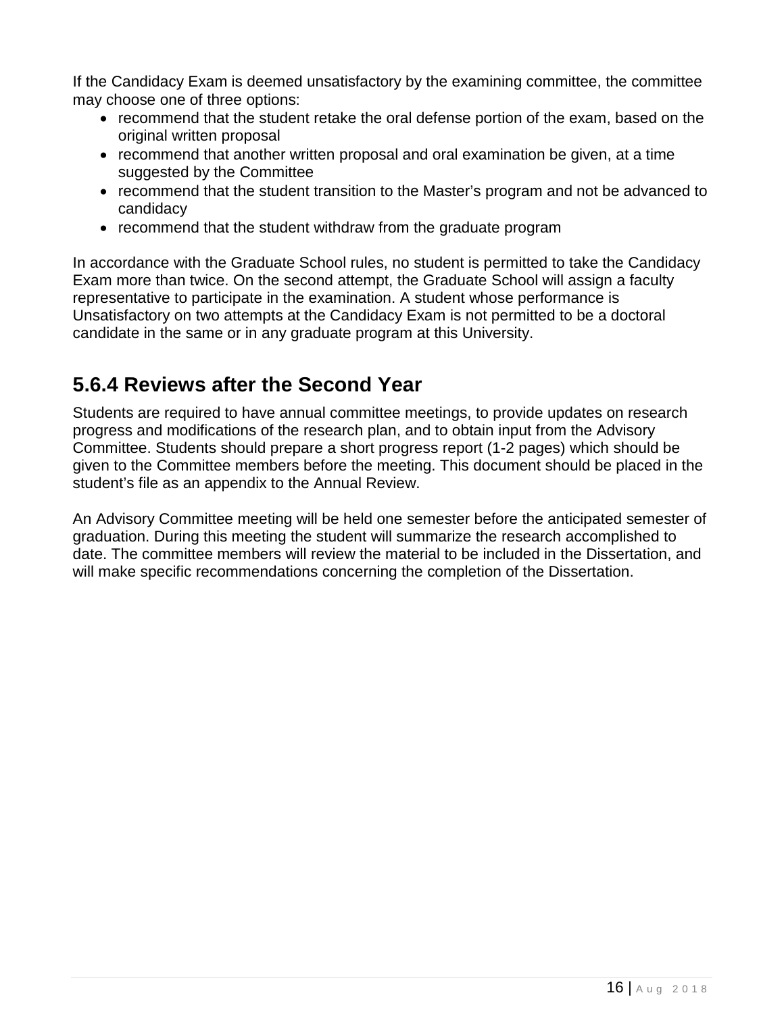If the Candidacy Exam is deemed unsatisfactory by the examining committee, the committee may choose one of three options:

- recommend that the student retake the oral defense portion of the exam, based on the original written proposal
- recommend that another written proposal and oral examination be given, at a time suggested by the Committee
- recommend that the student transition to the Master's program and not be advanced to candidacy
- recommend that the student withdraw from the graduate program

In accordance with the Graduate School rules, no student is permitted to take the Candidacy Exam more than twice. On the second attempt, the Graduate School will assign a faculty representative to participate in the examination. A student whose performance is Unsatisfactory on two attempts at the Candidacy Exam is not permitted to be a doctoral candidate in the same or in any graduate program at this University.

### <span id="page-15-0"></span>**5.6.4 Reviews after the Second Year**

Students are required to have annual committee meetings, to provide updates on research progress and modifications of the research plan, and to obtain input from the Advisory Committee. Students should prepare a short progress report (1-2 pages) which should be given to the Committee members before the meeting. This document should be placed in the student's file as an appendix to the Annual Review.

An Advisory Committee meeting will be held one semester before the anticipated semester of graduation. During this meeting the student will summarize the research accomplished to date. The committee members will review the material to be included in the Dissertation, and will make specific recommendations concerning the completion of the Dissertation.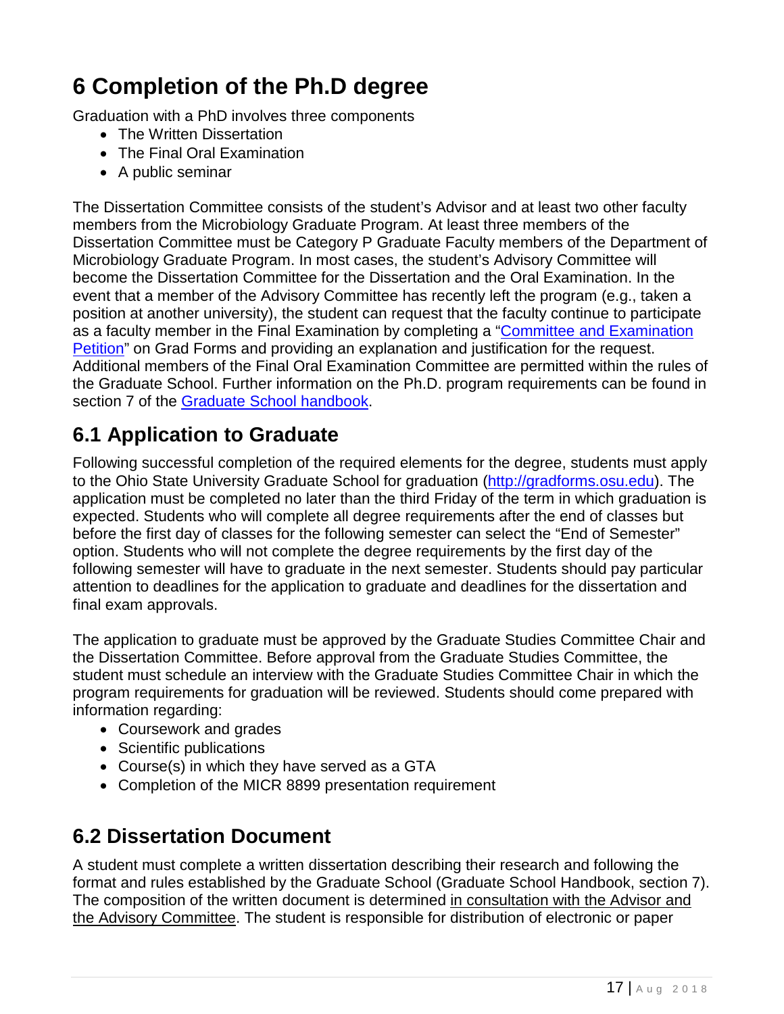# <span id="page-16-0"></span>**6 Completion of the Ph.D degree**

Graduation with a PhD involves three components

- The Written Dissertation
- The Final Oral Examination
- A public seminar

The Dissertation Committee consists of the student's Advisor and at least two other faculty members from the Microbiology Graduate Program. At least three members of the Dissertation Committee must be Category P Graduate Faculty members of the Department of Microbiology Graduate Program. In most cases, the student's Advisory Committee will become the Dissertation Committee for the Dissertation and the Oral Examination. In the event that a member of the Advisory Committee has recently left the program (e.g., taken a position at another university), the student can request that the faculty continue to participate as a faculty member in the Final Examination by completing a "Committee and Examination [Petition"](https://gradforms.osu.edu/) on Grad Forms and providing an explanation and justification for the request. Additional members of the Final Oral Examination Committee are permitted within the rules of the Graduate School. Further information on the Ph.D. program requirements can be found in section 7 of the [Graduate School handbook.](https://gradsch.osu.edu/handbook/all)

### <span id="page-16-1"></span>**6.1 Application to Graduate**

Following successful completion of the required elements for the degree, students must apply to the Ohio State University Graduate School for graduation [\(http://gradforms.osu.edu\)](http://gradforms.osu.edu/). The application must be completed no later than the third Friday of the term in which graduation is expected. Students who will complete all degree requirements after the end of classes but before the first day of classes for the following semester can select the "End of Semester" option. Students who will not complete the degree requirements by the first day of the following semester will have to graduate in the next semester. Students should pay particular attention to deadlines for the application to graduate and deadlines for the dissertation and final exam approvals.

The application to graduate must be approved by the Graduate Studies Committee Chair and the Dissertation Committee. Before approval from the Graduate Studies Committee, the student must schedule an interview with the Graduate Studies Committee Chair in which the program requirements for graduation will be reviewed. Students should come prepared with information regarding:

- Coursework and grades
- Scientific publications
- Course(s) in which they have served as a GTA
- Completion of the MICR 8899 presentation requirement

#### <span id="page-16-2"></span>**6.2 Dissertation Document**

A student must complete a written dissertation describing their research and following the format and rules established by the Graduate School (Graduate School Handbook, section 7). The composition of the written document is determined [in consultation with the Advisor and](#page-6-0)  [the Advisory Committee.](#page-6-0) The student is responsible for distribution of electronic or paper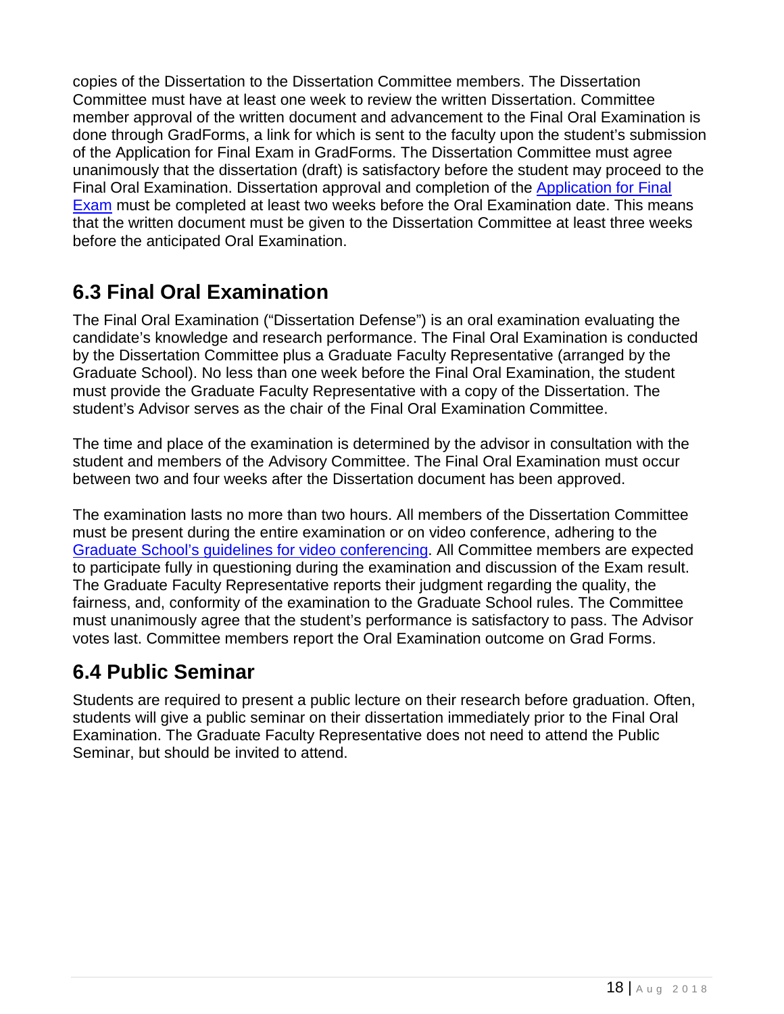copies of the Dissertation to the Dissertation Committee members. The Dissertation Committee must have at least one week to review the written Dissertation. Committee member approval of the written document and advancement to the Final Oral Examination is done through GradForms, a link for which is sent to the faculty upon the student's submission of the Application for Final Exam in GradForms. The Dissertation Committee must agree unanimously that the dissertation (draft) is satisfactory before the student may proceed to the Final Oral Examination. Dissertation approval and completion of the [Application for Final](https://gradforms.osu.edu/)  [Exam](https://gradforms.osu.edu/) must be completed at least two weeks before the Oral Examination date. This means that the written document must be given to the Dissertation Committee at least three weeks before the anticipated Oral Examination.

#### <span id="page-17-0"></span>**6.3 Final Oral Examination**

The Final Oral Examination ("Dissertation Defense") is an oral examination evaluating the candidate's knowledge and research performance. The Final Oral Examination is conducted by the Dissertation Committee plus a Graduate Faculty Representative (arranged by the Graduate School). No less than one week before the Final Oral Examination, the student must provide the Graduate Faculty Representative with a copy of the Dissertation. The student's Advisor serves as the chair of the Final Oral Examination Committee.

The time and place of the examination is determined by the advisor in consultation with the student and members of the Advisory Committee. The Final Oral Examination must occur between two and four weeks after the Dissertation document has been approved.

The examination lasts no more than two hours. All members of the Dissertation Committee must be present during the entire examination or on video conference, adhering to the [Graduate School's guidelines for video conferencing.](https://gradsch.osu.edu/handbook/b-video-conferencing-exams) All Committee members are expected to participate fully in questioning during the examination and discussion of the Exam result. The Graduate Faculty Representative reports their judgment regarding the quality, the fairness, and, conformity of the examination to the Graduate School rules. The Committee must unanimously agree that the student's performance is satisfactory to pass. The Advisor votes last. Committee members report the Oral Examination outcome on Grad Forms.

#### <span id="page-17-1"></span>**6.4 Public Seminar**

Students are required to present a public lecture on their research before graduation. Often, students will give a public seminar on their dissertation immediately prior to the Final Oral Examination. The Graduate Faculty Representative does not need to attend the Public Seminar, but should be invited to attend.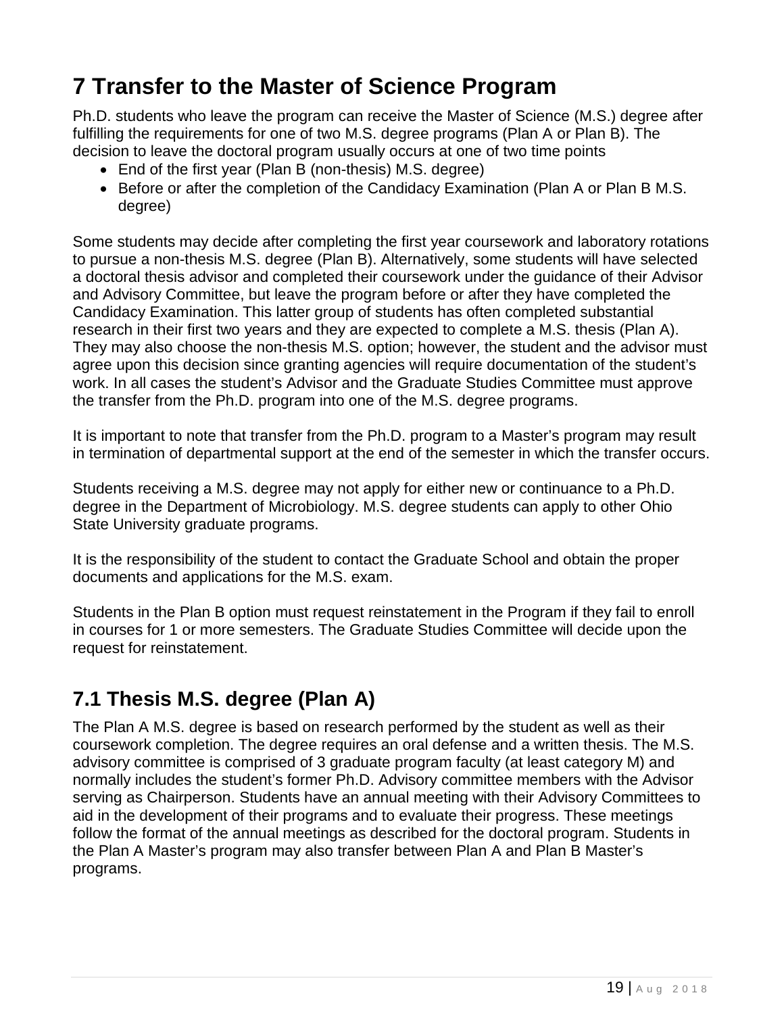# <span id="page-18-0"></span>**7 Transfer to the Master of Science Program**

Ph.D. students who leave the program can receive the Master of Science (M.S.) degree after fulfilling the requirements for one of two M.S. degree programs (Plan A or Plan B). The decision to leave the doctoral program usually occurs at one of two time points

- End of the first year (Plan B (non-thesis) M.S. degree)
- Before or after the completion of the Candidacy Examination (Plan A or Plan B M.S. degree)

Some students may decide after completing the first year coursework and laboratory rotations to pursue a non-thesis M.S. degree (Plan B). Alternatively, some students will have selected a doctoral thesis advisor and completed their coursework under the guidance of their Advisor and Advisory Committee, but leave the program before or after they have completed the Candidacy Examination. This latter group of students has often completed substantial research in their first two years and they are expected to complete a M.S. thesis (Plan A). They may also choose the non-thesis M.S. option; however, the student and the advisor must agree upon this decision since granting agencies will require documentation of the student's work. In all cases the student's Advisor and the Graduate Studies Committee must approve the transfer from the Ph.D. program into one of the M.S. degree programs.

It is important to note that transfer from the Ph.D. program to a Master's program may result in termination of departmental support at the end of the semester in which the transfer occurs.

Students receiving a M.S. degree may not apply for either new or continuance to a Ph.D. degree in the Department of Microbiology. M.S. degree students can apply to other Ohio State University graduate programs.

It is the responsibility of the student to contact the Graduate School and obtain the proper documents and applications for the M.S. exam.

Students in the Plan B option must request reinstatement in the Program if they fail to enroll in courses for 1 or more semesters. The Graduate Studies Committee will decide upon the request for reinstatement.

#### <span id="page-18-1"></span>**7.1 Thesis M.S. degree (Plan A)**

The Plan A M.S. degree is based on research performed by the student as well as their coursework completion. The degree requires an oral defense and a written thesis. The M.S. advisory committee is comprised of 3 graduate program faculty (at least category M) and normally includes the student's former Ph.D. Advisory committee members with the Advisor serving as Chairperson. Students have an annual meeting with their Advisory Committees to aid in the development of their programs and to evaluate their progress. These meetings follow the format of the annual meetings as described for the doctoral program. Students in the Plan A Master's program may also transfer between Plan A and Plan B Master's programs.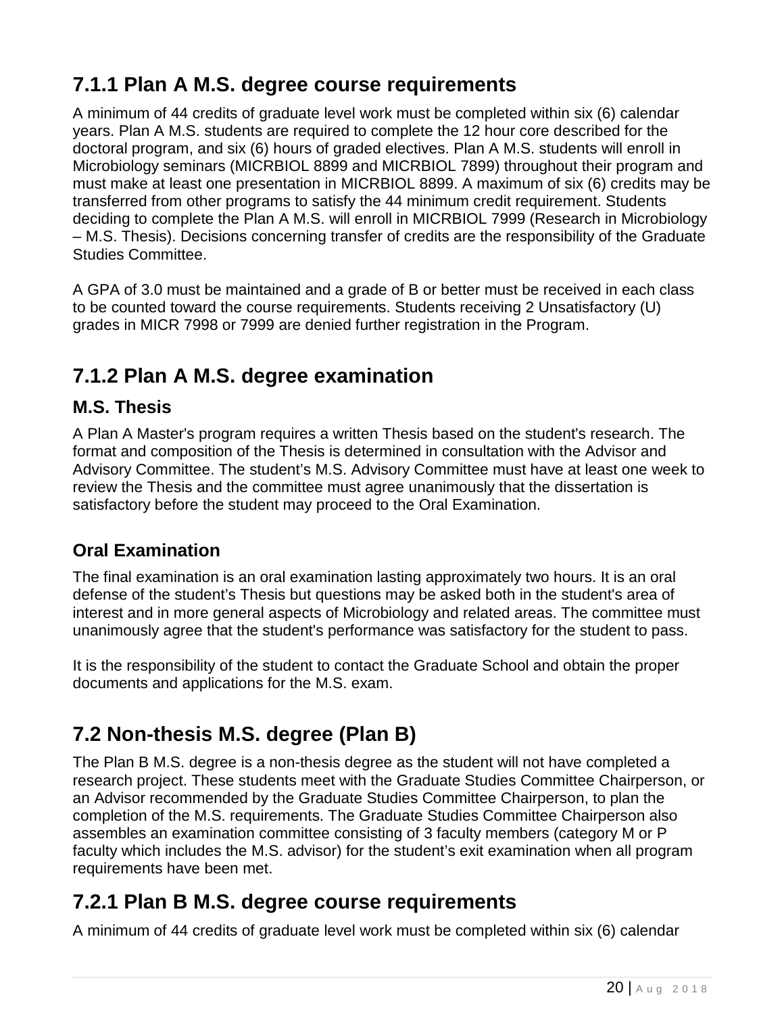# <span id="page-19-0"></span>**7.1.1 Plan A M.S. degree course requirements**

A minimum of 44 credits of graduate level work must be completed within six (6) calendar years. Plan A M.S. students are required to complete the 12 hour core described for the doctoral program, and six (6) hours of graded electives. Plan A M.S. students will enroll in Microbiology seminars (MICRBIOL 8899 and MICRBIOL 7899) throughout their program and must make at least one presentation in MICRBIOL 8899. A maximum of six (6) credits may be transferred from other programs to satisfy the 44 minimum credit requirement. Students deciding to complete the Plan A M.S. will enroll in MICRBIOL 7999 (Research in Microbiology – M.S. Thesis). Decisions concerning transfer of credits are the responsibility of the Graduate Studies Committee.

A GPA of 3.0 must be maintained and a grade of B or better must be received in each class to be counted toward the course requirements. Students receiving 2 Unsatisfactory (U) grades in MICR 7998 or 7999 are denied further registration in the Program.

### <span id="page-19-1"></span>**7.1.2 Plan A M.S. degree examination**

#### <span id="page-19-2"></span>**M.S. Thesis**

A Plan A Master's program requires a written Thesis based on the student's research. The format and composition of the Thesis is determined in consultation with the Advisor and Advisory Committee. The student's M.S. Advisory Committee must have at least one week to review the Thesis and the committee must agree unanimously that the dissertation is satisfactory before the student may proceed to the Oral Examination.

#### <span id="page-19-3"></span>**Oral Examination**

The final examination is an oral examination lasting approximately two hours. It is an oral defense of the student's Thesis but questions may be asked both in the student's area of interest and in more general aspects of Microbiology and related areas. The committee must unanimously agree that the student's performance was satisfactory for the student to pass.

It is the responsibility of the student to contact the Graduate School and obtain the proper documents and applications for the M.S. exam.

# <span id="page-19-4"></span>**7.2 Non-thesis M.S. degree (Plan B)**

The Plan B M.S. degree is a non-thesis degree as the student will not have completed a research project. These students meet with the Graduate Studies Committee Chairperson, or an Advisor recommended by the Graduate Studies Committee Chairperson, to plan the completion of the M.S. requirements. The Graduate Studies Committee Chairperson also assembles an examination committee consisting of 3 faculty members (category M or P faculty which includes the M.S. advisor) for the student's exit examination when all program requirements have been met.

#### <span id="page-19-5"></span>**7.2.1 Plan B M.S. degree course requirements**

A minimum of 44 credits of graduate level work must be completed within six (6) calendar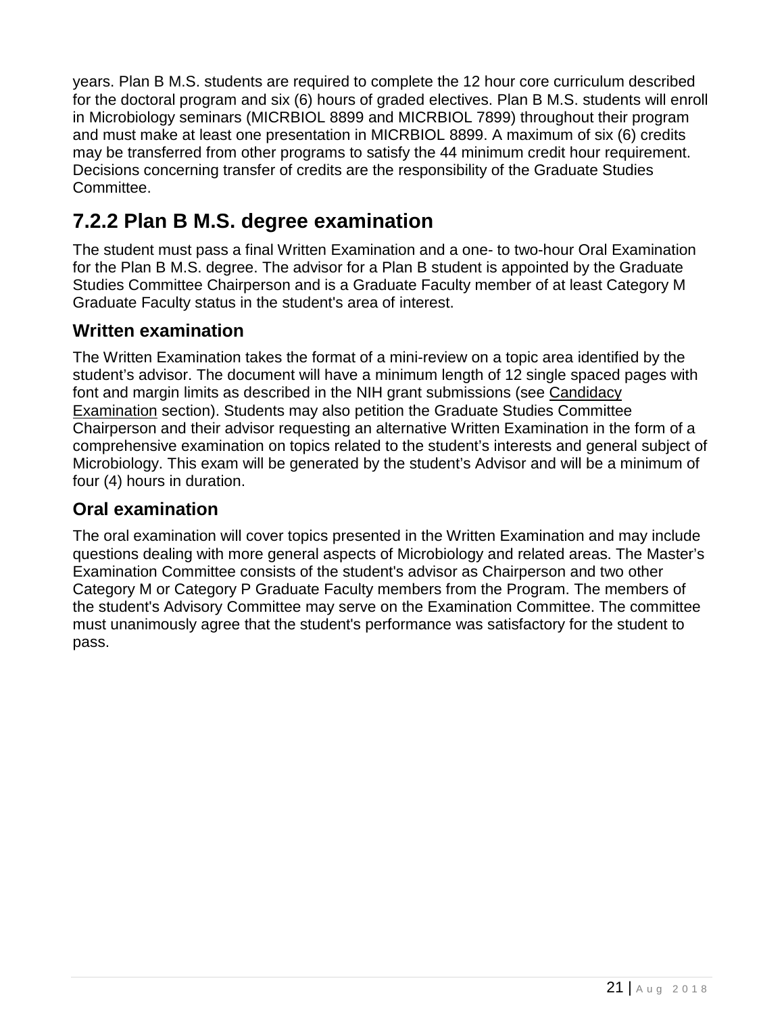years. Plan B M.S. students are required to complete the 12 hour core curriculum described for the doctoral program and six (6) hours of graded electives. Plan B M.S. students will enroll in Microbiology seminars (MICRBIOL 8899 and MICRBIOL 7899) throughout their program and must make at least one presentation in MICRBIOL 8899. A maximum of six (6) credits may be transferred from other programs to satisfy the 44 minimum credit hour requirement. Decisions concerning transfer of credits are the responsibility of the Graduate Studies Committee.

### <span id="page-20-0"></span>**7.2.2 Plan B M.S. degree examination**

The student must pass a final Written Examination and a one- to two-hour Oral Examination for the Plan B M.S. degree. The advisor for a Plan B student is appointed by the Graduate Studies Committee Chairperson and is a Graduate Faculty member of at least Category M Graduate Faculty status in the student's area of interest.

#### <span id="page-20-1"></span>**Written examination**

The Written Examination takes the format of a mini-review on a topic area identified by the student's advisor. The document will have a minimum length of 12 single spaced pages with font and margin limits as described in the NIH grant submissions (see Candidacy Examination section). Students may also petition the Graduate Studies Committee Chairperson and their advisor requesting an alternative Written Examination in the form of a comprehensive examination on topics related to the student's interests and general subject of Microbiology. This exam will be generated by the student's Advisor and will be a minimum of four (4) hours in duration.

#### <span id="page-20-2"></span>**Oral examination**

The oral examination will cover topics presented in the Written Examination and may include questions dealing with more general aspects of Microbiology and related areas. The Master's Examination Committee consists of the student's advisor as Chairperson and two other Category M or Category P Graduate Faculty members from the Program. The members of the student's Advisory Committee may serve on the Examination Committee. The committee must unanimously agree that the student's performance was satisfactory for the student to pass.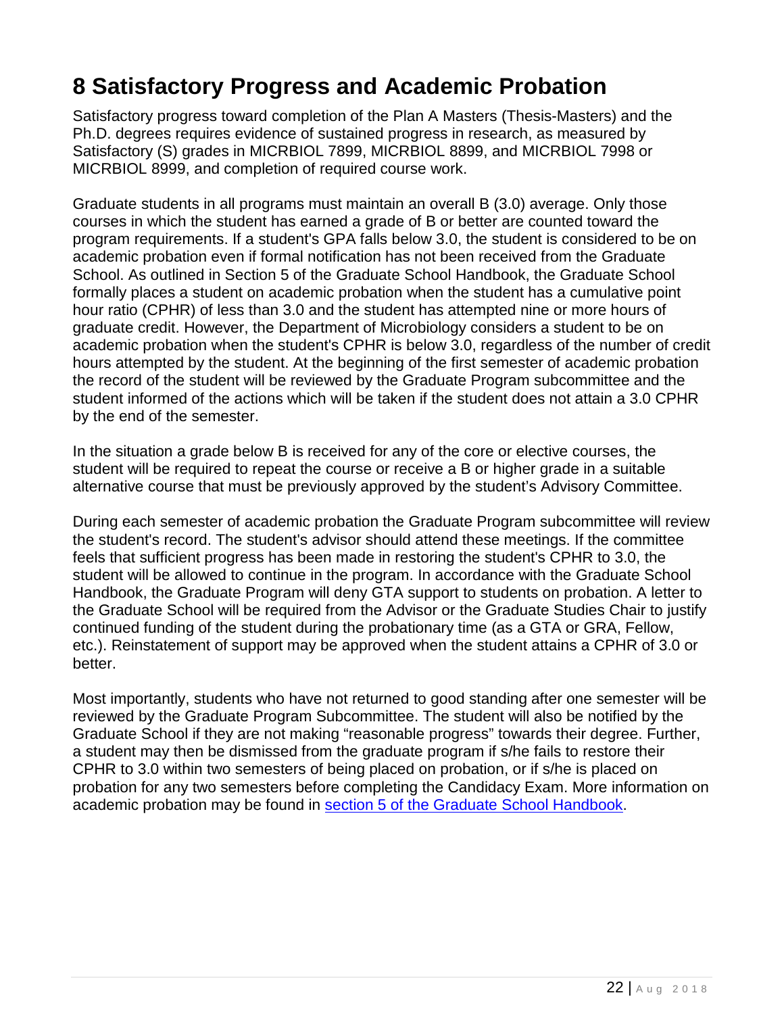# <span id="page-21-0"></span>**8 Satisfactory Progress and Academic Probation**

Satisfactory progress toward completion of the Plan A Masters (Thesis-Masters) and the Ph.D. degrees requires evidence of sustained progress in research, as measured by Satisfactory (S) grades in MICRBIOL 7899, MICRBIOL 8899, and MICRBIOL 7998 or MICRBIOL 8999, and completion of required course work.

Graduate students in all programs must maintain an overall B (3.0) average. Only those courses in which the student has earned a grade of B or better are counted toward the program requirements. If a student's GPA falls below 3.0, the student is considered to be on academic probation even if formal notification has not been received from the Graduate School. As outlined in Section 5 of the Graduate School Handbook, the Graduate School formally places a student on academic probation when the student has a cumulative point hour ratio (CPHR) of less than 3.0 and the student has attempted nine or more hours of graduate credit. However, the Department of Microbiology considers a student to be on academic probation when the student's CPHR is below 3.0, regardless of the number of credit hours attempted by the student. At the beginning of the first semester of academic probation the record of the student will be reviewed by the Graduate Program subcommittee and the student informed of the actions which will be taken if the student does not attain a 3.0 CPHR by the end of the semester.

In the situation a grade below B is received for any of the core or elective courses, the student will be required to repeat the course or receive a B or higher grade in a suitable alternative course that must be previously approved by the student's Advisory Committee.

During each semester of academic probation the Graduate Program subcommittee will review the student's record. The student's advisor should attend these meetings. If the committee feels that sufficient progress has been made in restoring the student's CPHR to 3.0, the student will be allowed to continue in the program. In accordance with the Graduate School Handbook, the Graduate Program will deny GTA support to students on probation. A letter to the Graduate School will be required from the Advisor or the Graduate Studies Chair to justify continued funding of the student during the probationary time (as a GTA or GRA, Fellow, etc.). Reinstatement of support may be approved when the student attains a CPHR of 3.0 or better.

Most importantly, students who have not returned to good standing after one semester will be reviewed by the Graduate Program Subcommittee. The student will also be notified by the Graduate School if they are not making "reasonable progress" towards their degree. Further, a student may then be dismissed from the graduate program if s/he fails to restore their CPHR to 3.0 within two semesters of being placed on probation, or if s/he is placed on probation for any two semesters before completing the Candidacy Exam. More information on academic probation may be found in [section 5 of the Graduate School Handbook.](https://gradsch.osu.edu/handbook/5-academic-and-professional-standards)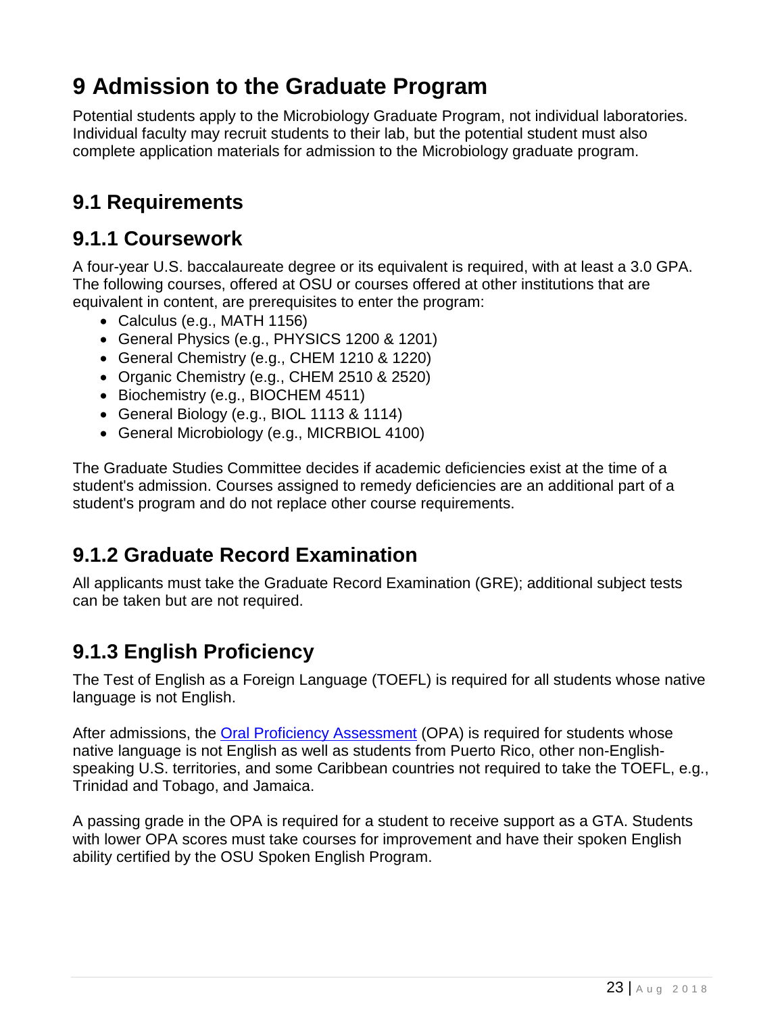# <span id="page-22-0"></span>**9 Admission to the Graduate Program**

Potential students apply to the Microbiology Graduate Program, not individual laboratories. Individual faculty may recruit students to their lab, but the potential student must also complete application materials for admission to the Microbiology graduate program.

#### <span id="page-22-1"></span>**9.1 Requirements**

#### <span id="page-22-2"></span>**9.1.1 Coursework**

A four-year U.S. baccalaureate degree or its equivalent is required, with at least a 3.0 GPA. The following courses, offered at OSU or courses offered at other institutions that are equivalent in content, are prerequisites to enter the program:

- Calculus (e.g., MATH 1156)
- General Physics (e.g., PHYSICS 1200 & 1201)
- General Chemistry (e.g., CHEM 1210 & 1220)
- Organic Chemistry (e.g., CHEM 2510 & 2520)
- Biochemistry (e.g., BIOCHEM 4511)
- General Biology (e.g., BIOL 1113 & 1114)
- General Microbiology (e.g., MICRBIOL 4100)

The Graduate Studies Committee decides if academic deficiencies exist at the time of a student's admission. Courses assigned to remedy deficiencies are an additional part of a student's program and do not replace other course requirements.

#### <span id="page-22-3"></span>**9.1.2 Graduate Record Examination**

All applicants must take the Graduate Record Examination (GRE); additional subject tests can be taken but are not required.

#### <span id="page-22-4"></span>**9.1.3 English Proficiency**

The Test of English as a Foreign Language (TOEFL) is required for all students whose native language is not English.

After admissions, the [Oral Proficiency Assessment](http://esl.ehe.osu.edu/home/testing/spoken-english/) (OPA) is required for students whose native language is not English as well as students from Puerto Rico, other non-Englishspeaking U.S. territories, and some Caribbean countries not required to take the TOEFL, e.g., Trinidad and Tobago, and Jamaica.

A passing grade in the OPA is required for a student to receive support as a GTA. Students with lower OPA scores must take courses for improvement and have their spoken English ability certified by the OSU Spoken English Program.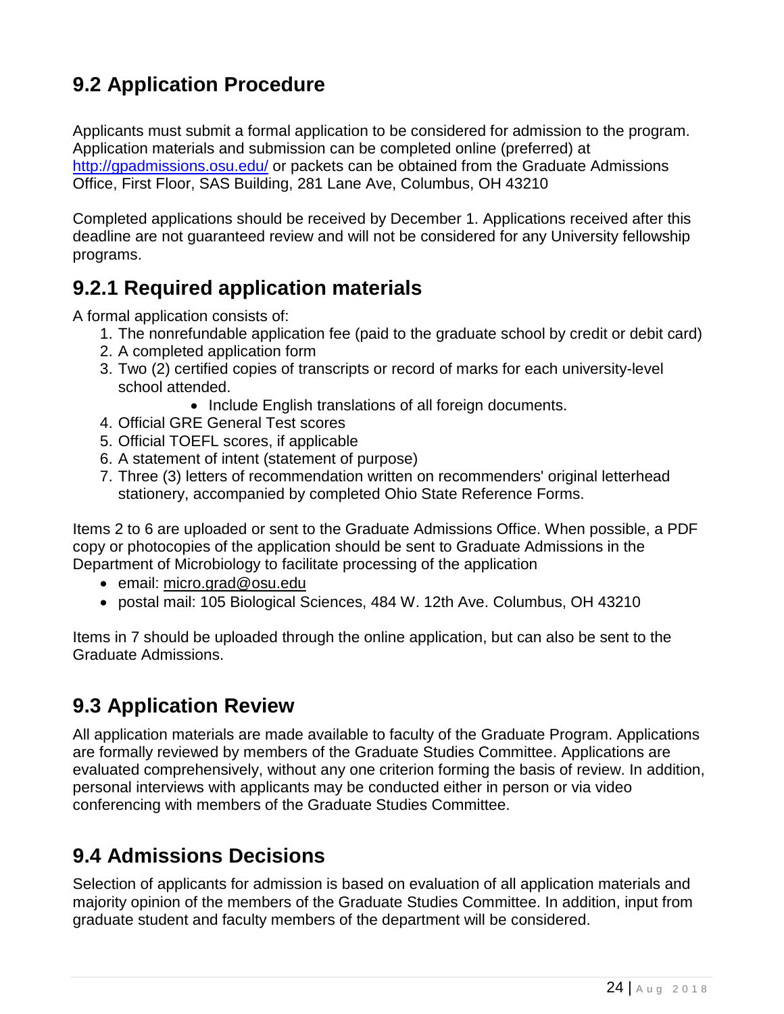# <span id="page-23-0"></span>**9.2 Application Procedure**

Applicants must submit a formal application to be considered for admission to the program. Application materials and submission can be completed online (preferred) at <http://gpadmissions.osu.edu/> or packets can be obtained from the Graduate Admissions Office, First Floor, SAS Building, 281 Lane Ave, Columbus, OH 43210

Completed applications should be received by December 1. Applications received after this deadline are not guaranteed review and will not be considered for any University fellowship programs.

#### <span id="page-23-1"></span>**9.2.1 Required application materials**

A formal application consists of:

- 1. The nonrefundable application fee (paid to the graduate school by credit or debit card)
- 2. A completed application form
- 3. Two (2) certified copies of transcripts or record of marks for each university-level school attended.
	- Include English translations of all foreign documents.
- 4. Official GRE General Test scores
- 5. Official TOEFL scores, if applicable
- 6. A statement of intent (statement of purpose)
- 7. Three (3) letters of recommendation written on recommenders' original letterhead stationery, accompanied by completed Ohio State Reference Forms.

Items 2 to 6 are uploaded or sent to the Graduate Admissions Office. When possible, a PDF copy or photocopies of the application should be sent to Graduate Admissions in the Department of Microbiology to facilitate processing of the application

- email: [micro.grad@osu.edu](mailto:micro.grad@osu.edu)
- postal mail: 105 Biological Sciences, 484 W. 12th Ave. Columbus, OH 43210

Items in 7 should be uploaded through the online application, but can also be sent to the Graduate Admissions.

#### <span id="page-23-2"></span>**9.3 Application Review**

All application materials are made available to faculty of the Graduate Program. Applications are formally reviewed by members of the Graduate Studies Committee. Applications are evaluated comprehensively, without any one criterion forming the basis of review. In addition, personal interviews with applicants may be conducted either in person or via video conferencing with members of the Graduate Studies Committee.

#### <span id="page-23-3"></span>**9.4 Admissions Decisions**

Selection of applicants for admission is based on evaluation of all application materials and majority opinion of the members of the Graduate Studies Committee. In addition, input from graduate student and faculty members of the department will be considered.